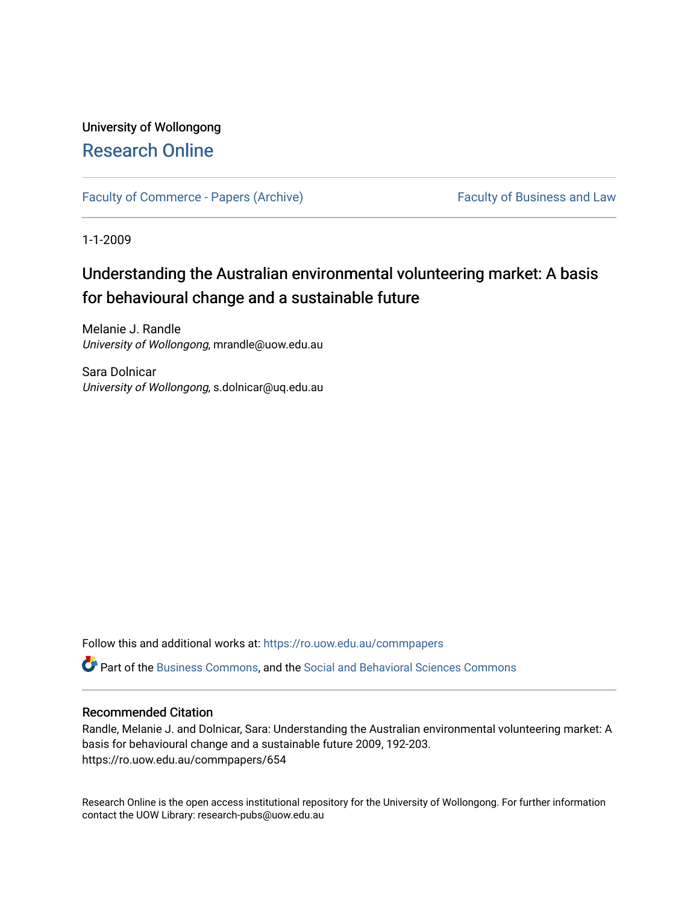# University of Wollongong [Research Online](https://ro.uow.edu.au/)

[Faculty of Commerce - Papers \(Archive\)](https://ro.uow.edu.au/commpapers) Faculty of Business and Law

1-1-2009

# Understanding the Australian environmental volunteering market: A basis for behavioural change and a sustainable future

Melanie J. Randle University of Wollongong, mrandle@uow.edu.au

Sara Dolnicar University of Wollongong, s.dolnicar@uq.edu.au

Follow this and additional works at: [https://ro.uow.edu.au/commpapers](https://ro.uow.edu.au/commpapers?utm_source=ro.uow.edu.au%2Fcommpapers%2F654&utm_medium=PDF&utm_campaign=PDFCoverPages) 

Part of the [Business Commons](http://network.bepress.com/hgg/discipline/622?utm_source=ro.uow.edu.au%2Fcommpapers%2F654&utm_medium=PDF&utm_campaign=PDFCoverPages), and the [Social and Behavioral Sciences Commons](http://network.bepress.com/hgg/discipline/316?utm_source=ro.uow.edu.au%2Fcommpapers%2F654&utm_medium=PDF&utm_campaign=PDFCoverPages) 

## Recommended Citation

Randle, Melanie J. and Dolnicar, Sara: Understanding the Australian environmental volunteering market: A basis for behavioural change and a sustainable future 2009, 192-203. https://ro.uow.edu.au/commpapers/654

Research Online is the open access institutional repository for the University of Wollongong. For further information contact the UOW Library: research-pubs@uow.edu.au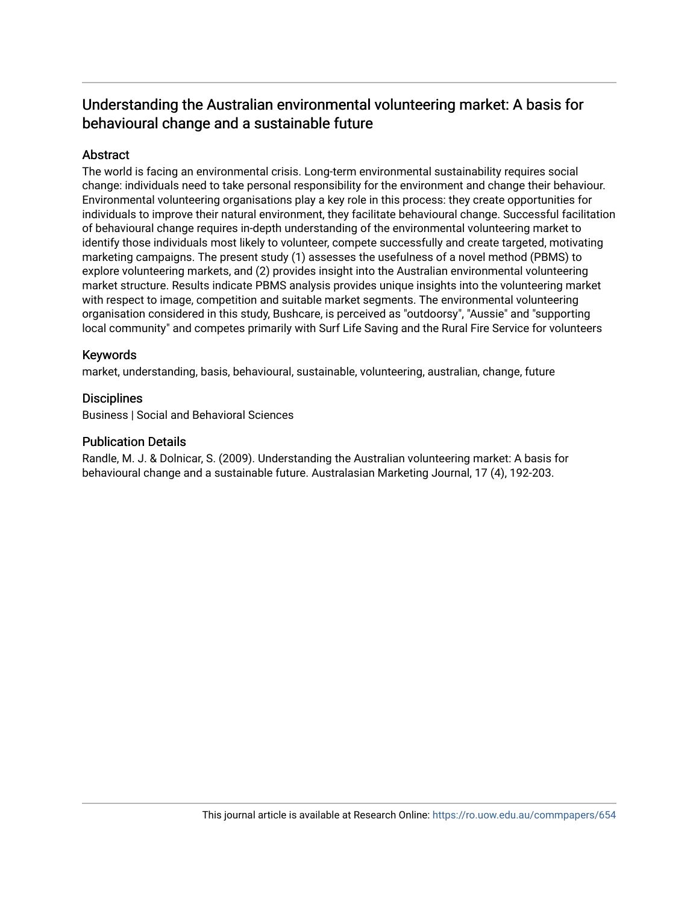## Understanding the Australian environmental volunteering market: A basis for behavioural change and a sustainable future

## **Abstract**

The world is facing an environmental crisis. Long-term environmental sustainability requires social change: individuals need to take personal responsibility for the environment and change their behaviour. Environmental volunteering organisations play a key role in this process: they create opportunities for individuals to improve their natural environment, they facilitate behavioural change. Successful facilitation of behavioural change requires in-depth understanding of the environmental volunteering market to identify those individuals most likely to volunteer, compete successfully and create targeted, motivating marketing campaigns. The present study (1) assesses the usefulness of a novel method (PBMS) to explore volunteering markets, and (2) provides insight into the Australian environmental volunteering market structure. Results indicate PBMS analysis provides unique insights into the volunteering market with respect to image, competition and suitable market segments. The environmental volunteering organisation considered in this study, Bushcare, is perceived as "outdoorsy", "Aussie" and "supporting local community" and competes primarily with Surf Life Saving and the Rural Fire Service for volunteers

## Keywords

market, understanding, basis, behavioural, sustainable, volunteering, australian, change, future

## **Disciplines**

Business | Social and Behavioral Sciences

## Publication Details

Randle, M. J. & Dolnicar, S. (2009). Understanding the Australian volunteering market: A basis for behavioural change and a sustainable future. Australasian Marketing Journal, 17 (4), 192-203.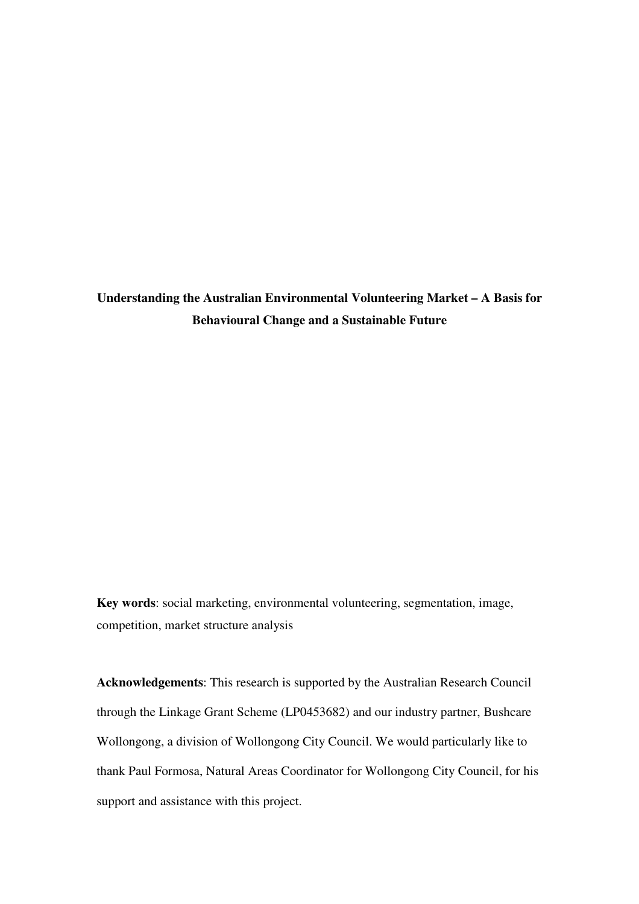**Understanding the Australian Environmental Volunteering Market – A Basis for Behavioural Change and a Sustainable Future** 

**Key words**: social marketing, environmental volunteering, segmentation, image, competition, market structure analysis

**Acknowledgements**: This research is supported by the Australian Research Council through the Linkage Grant Scheme (LP0453682) and our industry partner, Bushcare Wollongong, a division of Wollongong City Council. We would particularly like to thank Paul Formosa, Natural Areas Coordinator for Wollongong City Council, for his support and assistance with this project.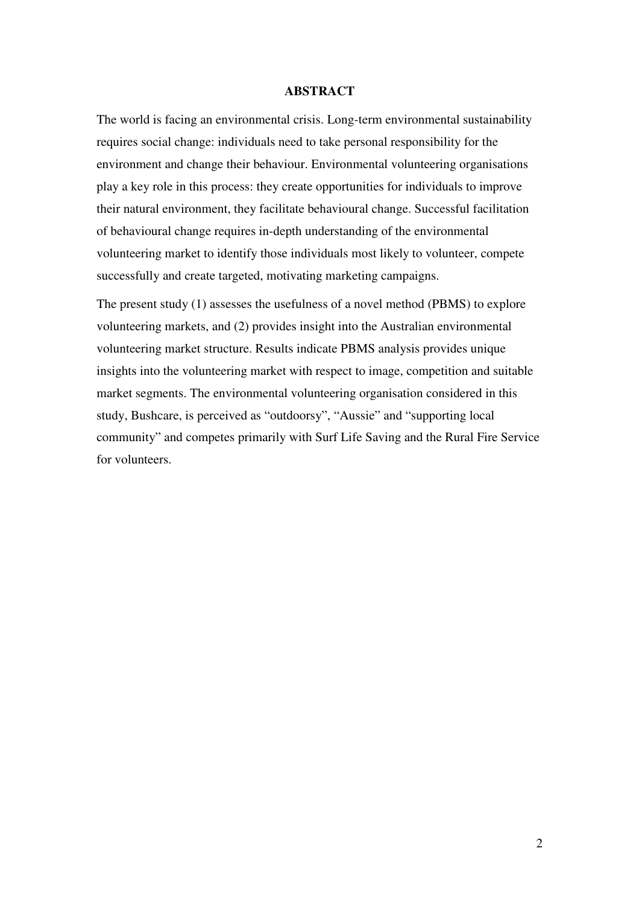## **ABSTRACT**

The world is facing an environmental crisis. Long-term environmental sustainability requires social change: individuals need to take personal responsibility for the environment and change their behaviour. Environmental volunteering organisations play a key role in this process: they create opportunities for individuals to improve their natural environment, they facilitate behavioural change. Successful facilitation of behavioural change requires in-depth understanding of the environmental volunteering market to identify those individuals most likely to volunteer, compete successfully and create targeted, motivating marketing campaigns.

The present study (1) assesses the usefulness of a novel method (PBMS) to explore volunteering markets, and (2) provides insight into the Australian environmental volunteering market structure. Results indicate PBMS analysis provides unique insights into the volunteering market with respect to image, competition and suitable market segments. The environmental volunteering organisation considered in this study, Bushcare, is perceived as "outdoorsy", "Aussie" and "supporting local community" and competes primarily with Surf Life Saving and the Rural Fire Service for volunteers.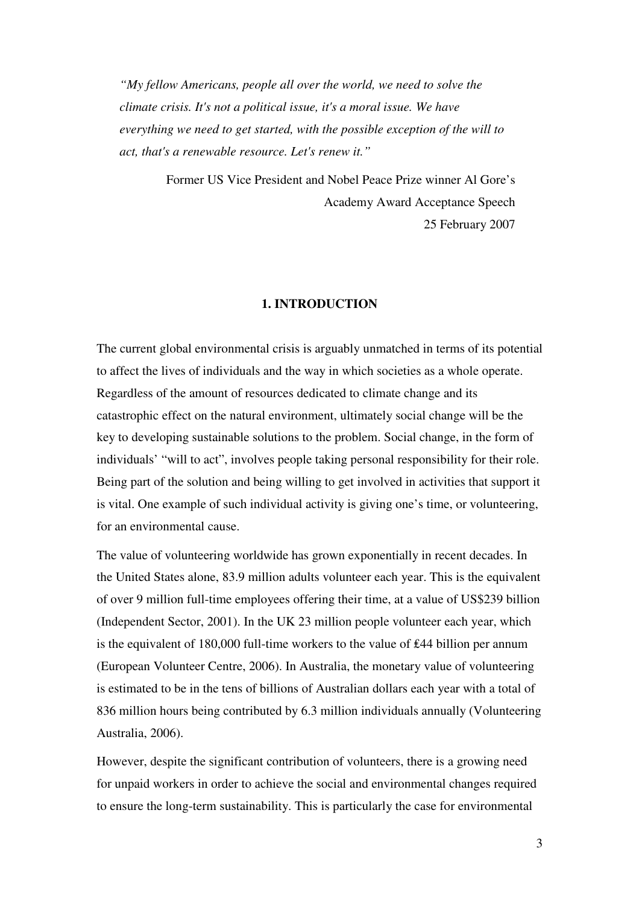*"My fellow Americans, people all over the world, we need to solve the climate crisis. It's not a political issue, it's a moral issue. We have everything we need to get started, with the possible exception of the will to act, that's a renewable resource. Let's renew it."* 

> Former US Vice President and Nobel Peace Prize winner Al Gore's Academy Award Acceptance Speech 25 February 2007

## **1. INTRODUCTION**

The current global environmental crisis is arguably unmatched in terms of its potential to affect the lives of individuals and the way in which societies as a whole operate. Regardless of the amount of resources dedicated to climate change and its catastrophic effect on the natural environment, ultimately social change will be the key to developing sustainable solutions to the problem. Social change, in the form of individuals' "will to act", involves people taking personal responsibility for their role. Being part of the solution and being willing to get involved in activities that support it is vital. One example of such individual activity is giving one's time, or volunteering, for an environmental cause.

The value of volunteering worldwide has grown exponentially in recent decades. In the United States alone, 83.9 million adults volunteer each year. This is the equivalent of over 9 million full-time employees offering their time, at a value of US\$239 billion (Independent Sector, 2001). In the UK 23 million people volunteer each year, which is the equivalent of 180,000 full-time workers to the value of ₤44 billion per annum (European Volunteer Centre, 2006). In Australia, the monetary value of volunteering is estimated to be in the tens of billions of Australian dollars each year with a total of 836 million hours being contributed by 6.3 million individuals annually (Volunteering Australia, 2006).

However, despite the significant contribution of volunteers, there is a growing need for unpaid workers in order to achieve the social and environmental changes required to ensure the long-term sustainability. This is particularly the case for environmental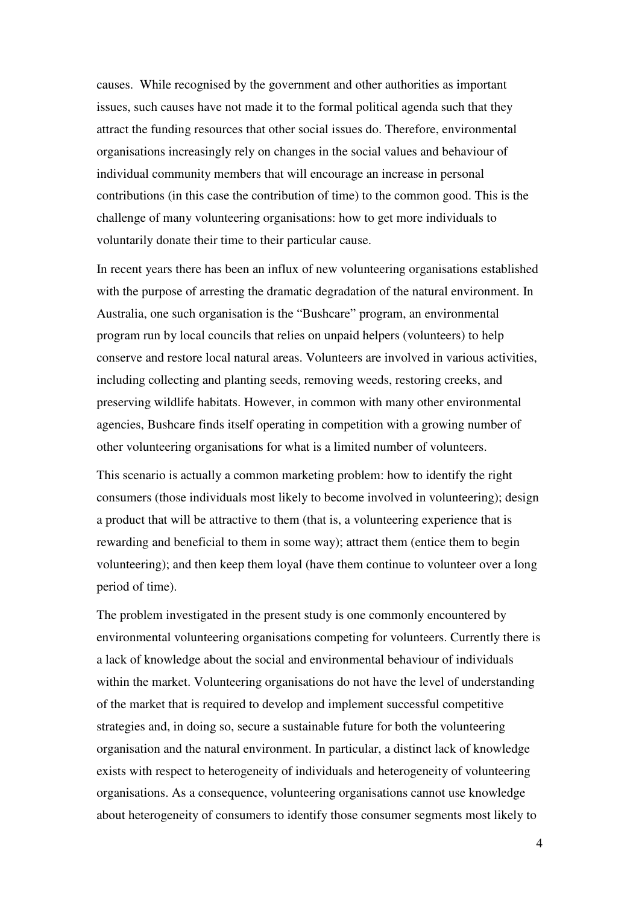causes. While recognised by the government and other authorities as important issues, such causes have not made it to the formal political agenda such that they attract the funding resources that other social issues do. Therefore, environmental organisations increasingly rely on changes in the social values and behaviour of individual community members that will encourage an increase in personal contributions (in this case the contribution of time) to the common good. This is the challenge of many volunteering organisations: how to get more individuals to voluntarily donate their time to their particular cause.

In recent years there has been an influx of new volunteering organisations established with the purpose of arresting the dramatic degradation of the natural environment. In Australia, one such organisation is the "Bushcare" program, an environmental program run by local councils that relies on unpaid helpers (volunteers) to help conserve and restore local natural areas. Volunteers are involved in various activities, including collecting and planting seeds, removing weeds, restoring creeks, and preserving wildlife habitats. However, in common with many other environmental agencies, Bushcare finds itself operating in competition with a growing number of other volunteering organisations for what is a limited number of volunteers.

This scenario is actually a common marketing problem: how to identify the right consumers (those individuals most likely to become involved in volunteering); design a product that will be attractive to them (that is, a volunteering experience that is rewarding and beneficial to them in some way); attract them (entice them to begin volunteering); and then keep them loyal (have them continue to volunteer over a long period of time).

The problem investigated in the present study is one commonly encountered by environmental volunteering organisations competing for volunteers. Currently there is a lack of knowledge about the social and environmental behaviour of individuals within the market. Volunteering organisations do not have the level of understanding of the market that is required to develop and implement successful competitive strategies and, in doing so, secure a sustainable future for both the volunteering organisation and the natural environment. In particular, a distinct lack of knowledge exists with respect to heterogeneity of individuals and heterogeneity of volunteering organisations. As a consequence, volunteering organisations cannot use knowledge about heterogeneity of consumers to identify those consumer segments most likely to

4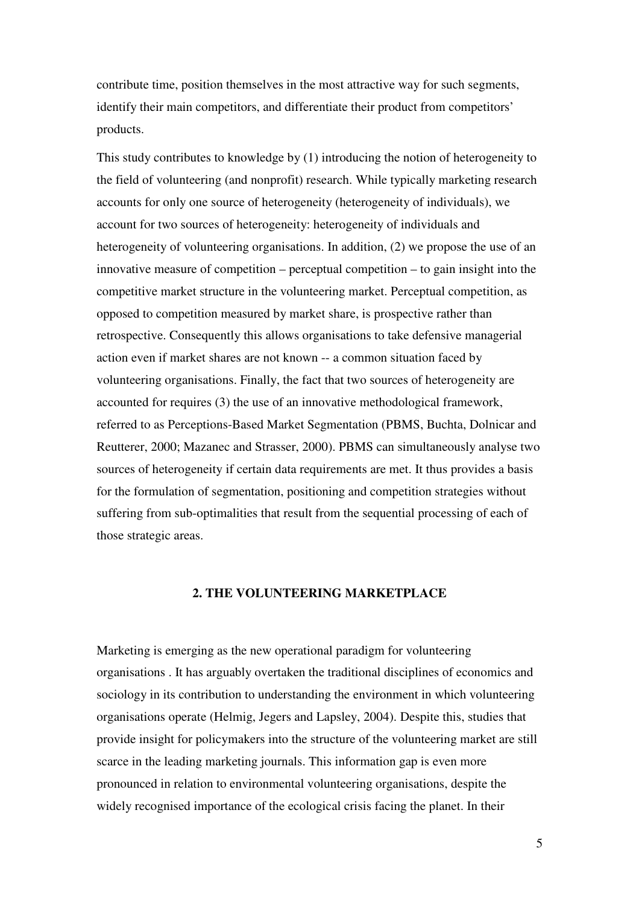contribute time, position themselves in the most attractive way for such segments, identify their main competitors, and differentiate their product from competitors' products.

This study contributes to knowledge by (1) introducing the notion of heterogeneity to the field of volunteering (and nonprofit) research. While typically marketing research accounts for only one source of heterogeneity (heterogeneity of individuals), we account for two sources of heterogeneity: heterogeneity of individuals and heterogeneity of volunteering organisations. In addition, (2) we propose the use of an innovative measure of competition – perceptual competition – to gain insight into the competitive market structure in the volunteering market. Perceptual competition, as opposed to competition measured by market share, is prospective rather than retrospective. Consequently this allows organisations to take defensive managerial action even if market shares are not known -- a common situation faced by volunteering organisations. Finally, the fact that two sources of heterogeneity are accounted for requires (3) the use of an innovative methodological framework, referred to as Perceptions-Based Market Segmentation (PBMS, Buchta, Dolnicar and Reutterer, 2000; Mazanec and Strasser, 2000). PBMS can simultaneously analyse two sources of heterogeneity if certain data requirements are met. It thus provides a basis for the formulation of segmentation, positioning and competition strategies without suffering from sub-optimalities that result from the sequential processing of each of those strategic areas.

## **2. THE VOLUNTEERING MARKETPLACE**

Marketing is emerging as the new operational paradigm for volunteering organisations . It has arguably overtaken the traditional disciplines of economics and sociology in its contribution to understanding the environment in which volunteering organisations operate (Helmig, Jegers and Lapsley, 2004). Despite this, studies that provide insight for policymakers into the structure of the volunteering market are still scarce in the leading marketing journals. This information gap is even more pronounced in relation to environmental volunteering organisations, despite the widely recognised importance of the ecological crisis facing the planet. In their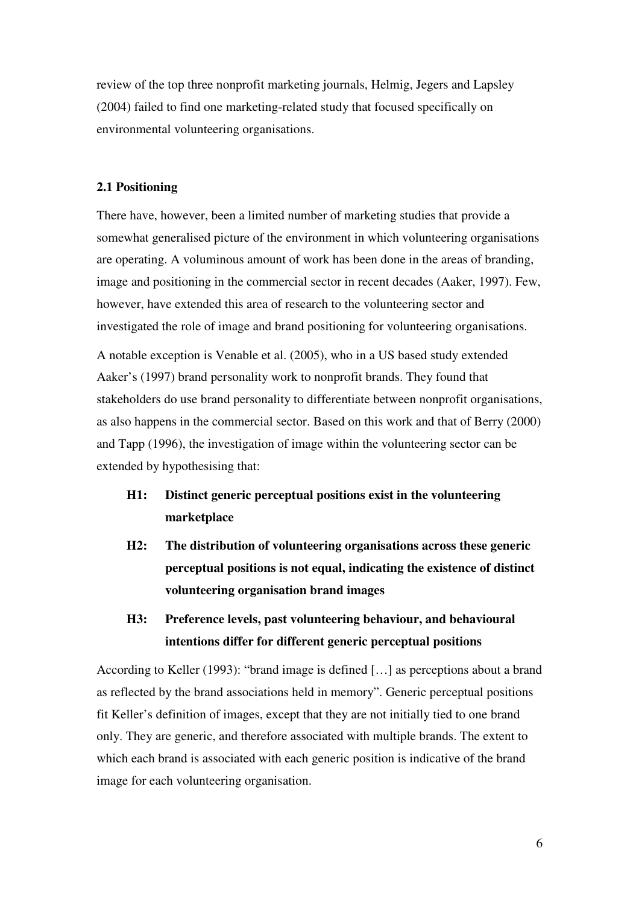review of the top three nonprofit marketing journals, Helmig, Jegers and Lapsley (2004) failed to find one marketing-related study that focused specifically on environmental volunteering organisations.

### **2.1 Positioning**

There have, however, been a limited number of marketing studies that provide a somewhat generalised picture of the environment in which volunteering organisations are operating. A voluminous amount of work has been done in the areas of branding, image and positioning in the commercial sector in recent decades (Aaker, 1997). Few, however, have extended this area of research to the volunteering sector and investigated the role of image and brand positioning for volunteering organisations. A notable exception is Venable et al. (2005), who in a US based study extended Aaker's (1997) brand personality work to nonprofit brands. They found that stakeholders do use brand personality to differentiate between nonprofit organisations, as also happens in the commercial sector. Based on this work and that of Berry (2000) and Tapp (1996), the investigation of image within the volunteering sector can be extended by hypothesising that:

## **H1: Distinct generic perceptual positions exist in the volunteering marketplace**

- **H2: The distribution of volunteering organisations across these generic perceptual positions is not equal, indicating the existence of distinct volunteering organisation brand images**
- **H3: Preference levels, past volunteering behaviour, and behavioural intentions differ for different generic perceptual positions**

According to Keller (1993): "brand image is defined […] as perceptions about a brand as reflected by the brand associations held in memory". Generic perceptual positions fit Keller's definition of images, except that they are not initially tied to one brand only. They are generic, and therefore associated with multiple brands. The extent to which each brand is associated with each generic position is indicative of the brand image for each volunteering organisation.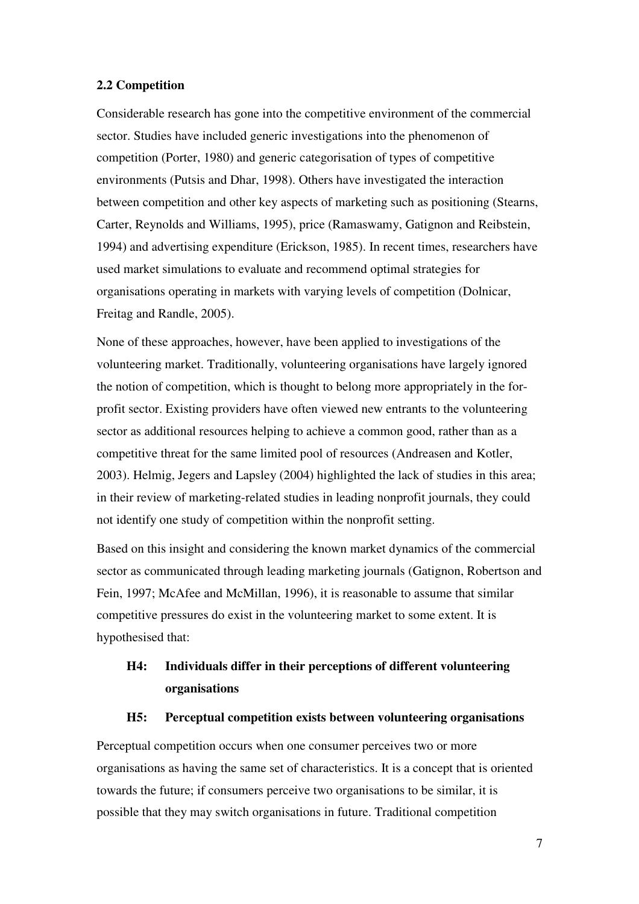#### **2.2 Competition**

Considerable research has gone into the competitive environment of the commercial sector. Studies have included generic investigations into the phenomenon of competition (Porter, 1980) and generic categorisation of types of competitive environments (Putsis and Dhar, 1998). Others have investigated the interaction between competition and other key aspects of marketing such as positioning (Stearns, Carter, Reynolds and Williams, 1995), price (Ramaswamy, Gatignon and Reibstein, 1994) and advertising expenditure (Erickson, 1985). In recent times, researchers have used market simulations to evaluate and recommend optimal strategies for organisations operating in markets with varying levels of competition (Dolnicar, Freitag and Randle, 2005).

None of these approaches, however, have been applied to investigations of the volunteering market. Traditionally, volunteering organisations have largely ignored the notion of competition, which is thought to belong more appropriately in the forprofit sector. Existing providers have often viewed new entrants to the volunteering sector as additional resources helping to achieve a common good, rather than as a competitive threat for the same limited pool of resources (Andreasen and Kotler, 2003). Helmig, Jegers and Lapsley (2004) highlighted the lack of studies in this area; in their review of marketing-related studies in leading nonprofit journals, they could not identify one study of competition within the nonprofit setting.

Based on this insight and considering the known market dynamics of the commercial sector as communicated through leading marketing journals (Gatignon, Robertson and Fein, 1997; McAfee and McMillan, 1996), it is reasonable to assume that similar competitive pressures do exist in the volunteering market to some extent. It is hypothesised that:

## **H4: Individuals differ in their perceptions of different volunteering organisations**

#### **H5: Perceptual competition exists between volunteering organisations**

Perceptual competition occurs when one consumer perceives two or more organisations as having the same set of characteristics. It is a concept that is oriented towards the future; if consumers perceive two organisations to be similar, it is possible that they may switch organisations in future. Traditional competition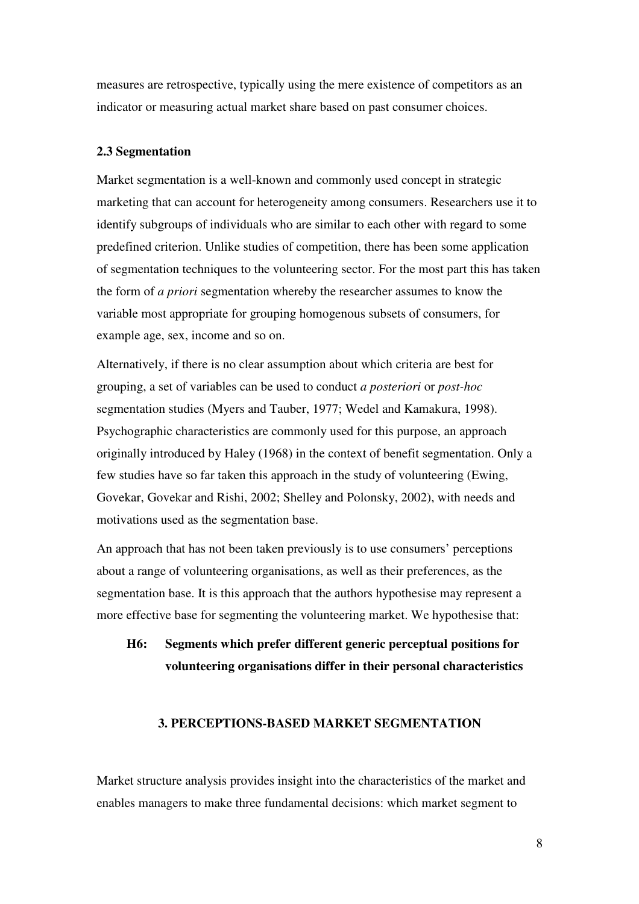measures are retrospective, typically using the mere existence of competitors as an indicator or measuring actual market share based on past consumer choices.

## **2.3 Segmentation**

Market segmentation is a well-known and commonly used concept in strategic marketing that can account for heterogeneity among consumers. Researchers use it to identify subgroups of individuals who are similar to each other with regard to some predefined criterion. Unlike studies of competition, there has been some application of segmentation techniques to the volunteering sector. For the most part this has taken the form of *a priori* segmentation whereby the researcher assumes to know the variable most appropriate for grouping homogenous subsets of consumers, for example age, sex, income and so on.

Alternatively, if there is no clear assumption about which criteria are best for grouping, a set of variables can be used to conduct *a posteriori* or *post-hoc*  segmentation studies (Myers and Tauber, 1977; Wedel and Kamakura, 1998). Psychographic characteristics are commonly used for this purpose, an approach originally introduced by Haley (1968) in the context of benefit segmentation. Only a few studies have so far taken this approach in the study of volunteering (Ewing, Govekar, Govekar and Rishi, 2002; Shelley and Polonsky, 2002), with needs and motivations used as the segmentation base.

An approach that has not been taken previously is to use consumers' perceptions about a range of volunteering organisations, as well as their preferences, as the segmentation base. It is this approach that the authors hypothesise may represent a more effective base for segmenting the volunteering market. We hypothesise that:

## **H6: Segments which prefer different generic perceptual positions for volunteering organisations differ in their personal characteristics**

## **3. PERCEPTIONS-BASED MARKET SEGMENTATION**

Market structure analysis provides insight into the characteristics of the market and enables managers to make three fundamental decisions: which market segment to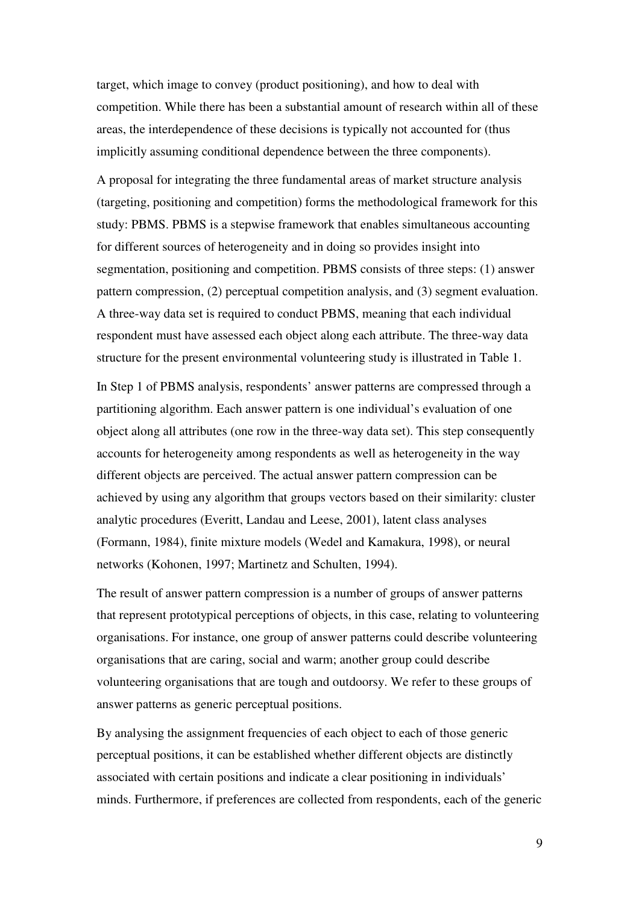target, which image to convey (product positioning), and how to deal with competition. While there has been a substantial amount of research within all of these areas, the interdependence of these decisions is typically not accounted for (thus implicitly assuming conditional dependence between the three components).

A proposal for integrating the three fundamental areas of market structure analysis (targeting, positioning and competition) forms the methodological framework for this study: PBMS. PBMS is a stepwise framework that enables simultaneous accounting for different sources of heterogeneity and in doing so provides insight into segmentation, positioning and competition. PBMS consists of three steps: (1) answer pattern compression, (2) perceptual competition analysis, and (3) segment evaluation. A three-way data set is required to conduct PBMS, meaning that each individual respondent must have assessed each object along each attribute. The three-way data structure for the present environmental volunteering study is illustrated in Table 1.

In Step 1 of PBMS analysis, respondents' answer patterns are compressed through a partitioning algorithm. Each answer pattern is one individual's evaluation of one object along all attributes (one row in the three-way data set). This step consequently accounts for heterogeneity among respondents as well as heterogeneity in the way different objects are perceived. The actual answer pattern compression can be achieved by using any algorithm that groups vectors based on their similarity: cluster analytic procedures (Everitt, Landau and Leese, 2001), latent class analyses (Formann, 1984), finite mixture models (Wedel and Kamakura, 1998), or neural networks (Kohonen, 1997; Martinetz and Schulten, 1994).

The result of answer pattern compression is a number of groups of answer patterns that represent prototypical perceptions of objects, in this case, relating to volunteering organisations. For instance, one group of answer patterns could describe volunteering organisations that are caring, social and warm; another group could describe volunteering organisations that are tough and outdoorsy. We refer to these groups of answer patterns as generic perceptual positions.

By analysing the assignment frequencies of each object to each of those generic perceptual positions, it can be established whether different objects are distinctly associated with certain positions and indicate a clear positioning in individuals' minds. Furthermore, if preferences are collected from respondents, each of the generic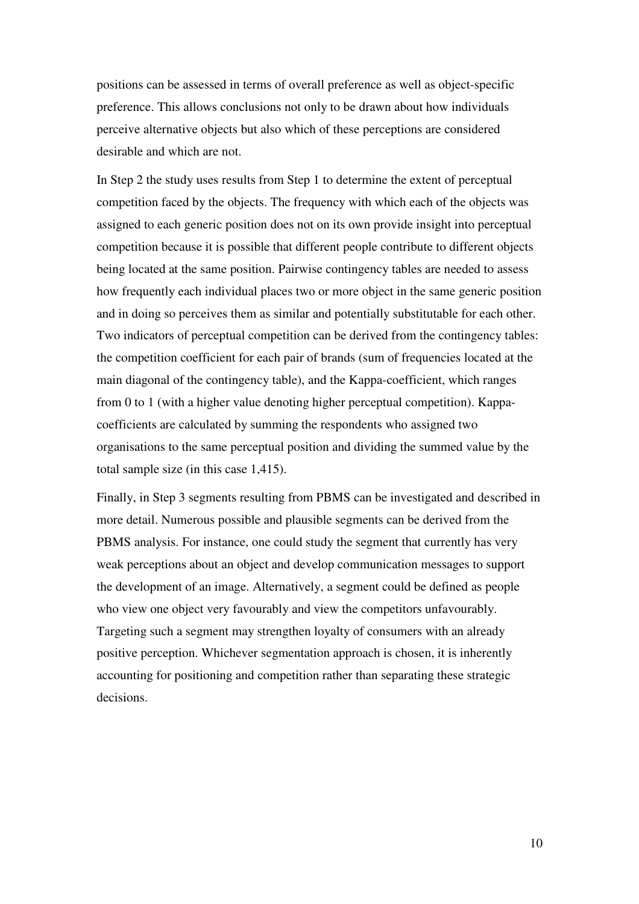positions can be assessed in terms of overall preference as well as object-specific preference. This allows conclusions not only to be drawn about how individuals perceive alternative objects but also which of these perceptions are considered desirable and which are not.

In Step 2 the study uses results from Step 1 to determine the extent of perceptual competition faced by the objects. The frequency with which each of the objects was assigned to each generic position does not on its own provide insight into perceptual competition because it is possible that different people contribute to different objects being located at the same position. Pairwise contingency tables are needed to assess how frequently each individual places two or more object in the same generic position and in doing so perceives them as similar and potentially substitutable for each other. Two indicators of perceptual competition can be derived from the contingency tables: the competition coefficient for each pair of brands (sum of frequencies located at the main diagonal of the contingency table), and the Kappa-coefficient, which ranges from 0 to 1 (with a higher value denoting higher perceptual competition). Kappacoefficients are calculated by summing the respondents who assigned two organisations to the same perceptual position and dividing the summed value by the total sample size (in this case 1,415).

Finally, in Step 3 segments resulting from PBMS can be investigated and described in more detail. Numerous possible and plausible segments can be derived from the PBMS analysis. For instance, one could study the segment that currently has very weak perceptions about an object and develop communication messages to support the development of an image. Alternatively, a segment could be defined as people who view one object very favourably and view the competitors unfavourably. Targeting such a segment may strengthen loyalty of consumers with an already positive perception. Whichever segmentation approach is chosen, it is inherently accounting for positioning and competition rather than separating these strategic decisions.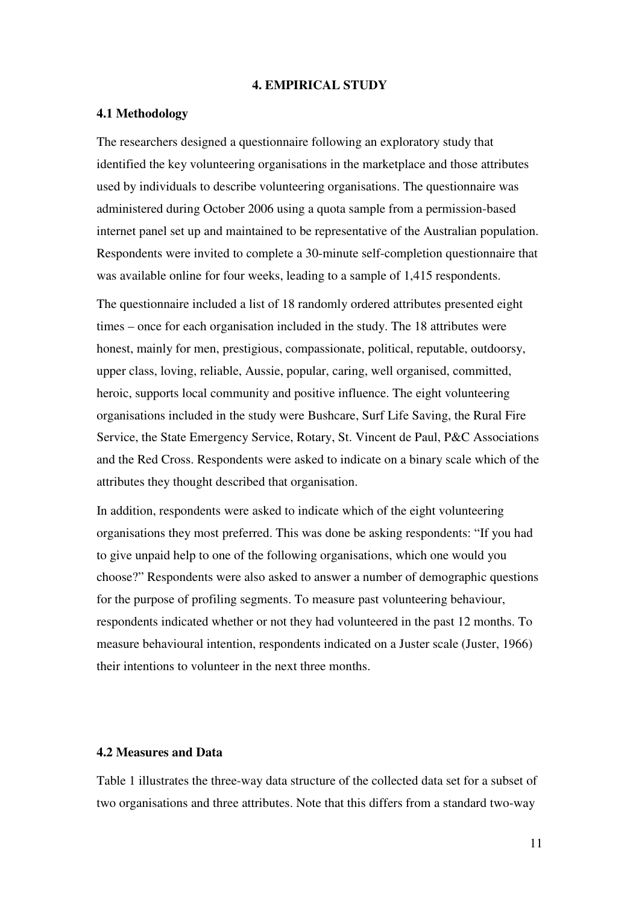#### **4. EMPIRICAL STUDY**

#### **4.1 Methodology**

The researchers designed a questionnaire following an exploratory study that identified the key volunteering organisations in the marketplace and those attributes used by individuals to describe volunteering organisations. The questionnaire was administered during October 2006 using a quota sample from a permission-based internet panel set up and maintained to be representative of the Australian population. Respondents were invited to complete a 30-minute self-completion questionnaire that was available online for four weeks, leading to a sample of 1,415 respondents.

The questionnaire included a list of 18 randomly ordered attributes presented eight times – once for each organisation included in the study. The 18 attributes were honest, mainly for men, prestigious, compassionate, political, reputable, outdoorsy, upper class, loving, reliable, Aussie, popular, caring, well organised, committed, heroic, supports local community and positive influence. The eight volunteering organisations included in the study were Bushcare, Surf Life Saving, the Rural Fire Service, the State Emergency Service, Rotary, St. Vincent de Paul, P&C Associations and the Red Cross. Respondents were asked to indicate on a binary scale which of the attributes they thought described that organisation.

In addition, respondents were asked to indicate which of the eight volunteering organisations they most preferred. This was done be asking respondents: "If you had to give unpaid help to one of the following organisations, which one would you choose?" Respondents were also asked to answer a number of demographic questions for the purpose of profiling segments. To measure past volunteering behaviour, respondents indicated whether or not they had volunteered in the past 12 months. To measure behavioural intention, respondents indicated on a Juster scale (Juster, 1966) their intentions to volunteer in the next three months.

## **4.2 Measures and Data**

Table 1 illustrates the three-way data structure of the collected data set for a subset of two organisations and three attributes. Note that this differs from a standard two-way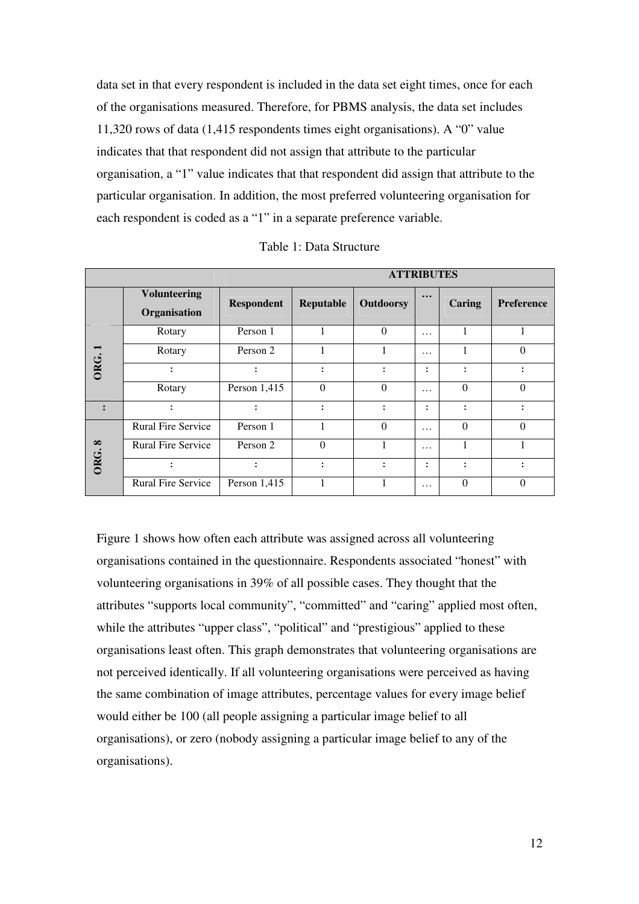data set in that every respondent is included in the data set eight times, once for each of the organisations measured. Therefore, for PBMS analysis, the data set includes 11,320 rows of data (1,415 respondents times eight organisations). A "0" value indicates that that respondent did not assign that attribute to the particular organisation, a "1" value indicates that that respondent did assign that attribute to the particular organisation. In addition, the most preferred volunteering organisation for each respondent is coded as a "1" in a separate preference variable.

|                  |                                     | <b>ATTRIBUTES</b> |                |                  |                         |                |                   |  |
|------------------|-------------------------------------|-------------------|----------------|------------------|-------------------------|----------------|-------------------|--|
|                  | <b>Volunteering</b><br>Organisation | <b>Respondent</b> | Reputable      | <b>Outdoorsy</b> | $\bullet\bullet\bullet$ | <b>Caring</b>  | <b>Preference</b> |  |
|                  | Rotary                              | Person 1          |                | $\Omega$         | $\cdots$                | 1              |                   |  |
|                  | Rotary                              | Person 2          |                |                  | $\cdots$                |                | $\Omega$          |  |
| ORG.             | $\bullet$                           |                   | $\ddot{\cdot}$ | $\ddot{\cdot}$   | :                       | $\ddot{\cdot}$ |                   |  |
|                  | Rotary                              | Person 1,415      | $\theta$       | $\Omega$         | $\cdots$                | $\theta$       | $\Omega$          |  |
|                  | ٠                                   | ٠<br>$\bullet$    | ٠              | :                | :                       | :              |                   |  |
| $\infty$<br>ORG. | <b>Rural Fire Service</b>           | Person 1          |                | $\Omega$         | $\cdots$                | $\theta$       | $\Omega$          |  |
|                  | <b>Rural Fire Service</b>           | Person 2          | $\Omega$       |                  | $\cdots$                |                |                   |  |
|                  |                                     | $\bullet$         | $\bullet$      | $\ddot{\cdot}$   | $\ddot{\cdot}$          | $\ddot{\cdot}$ |                   |  |
|                  | <b>Rural Fire Service</b>           | Person $1,415$    | 1              |                  | $\cdots$                | $\theta$       | $\Omega$          |  |

Table 1: Data Structure

Figure 1 shows how often each attribute was assigned across all volunteering organisations contained in the questionnaire. Respondents associated "honest" with volunteering organisations in 39% of all possible cases. They thought that the attributes "supports local community", "committed" and "caring" applied most often, while the attributes "upper class", "political" and "prestigious" applied to these organisations least often. This graph demonstrates that volunteering organisations are not perceived identically. If all volunteering organisations were perceived as having the same combination of image attributes, percentage values for every image belief would either be 100 (all people assigning a particular image belief to all organisations), or zero (nobody assigning a particular image belief to any of the organisations).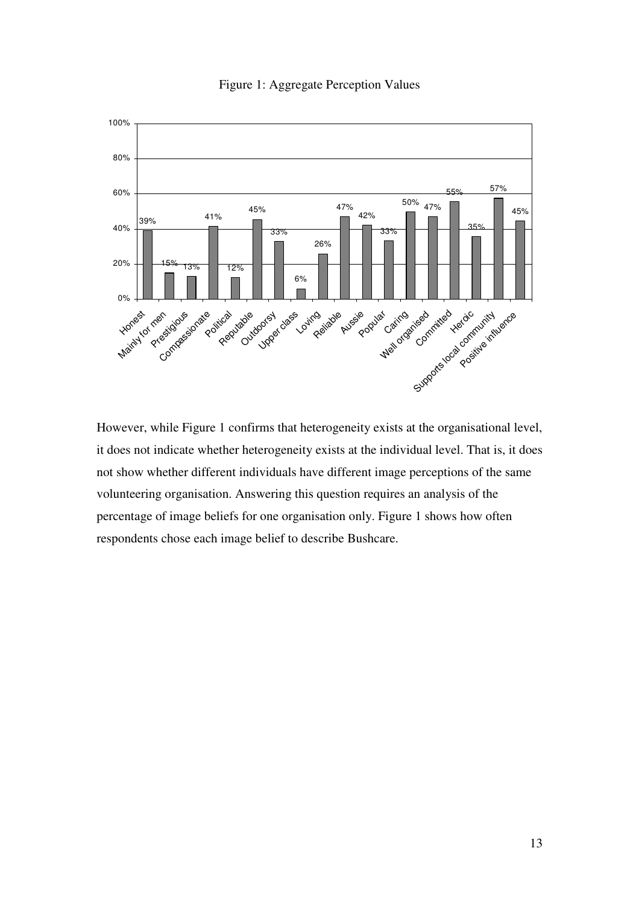

## Figure 1: Aggregate Perception Values

However, while Figure 1 confirms that heterogeneity exists at the organisational level, it does not indicate whether heterogeneity exists at the individual level. That is, it does not show whether different individuals have different image perceptions of the same volunteering organisation. Answering this question requires an analysis of the percentage of image beliefs for one organisation only. Figure 1 shows how often respondents chose each image belief to describe Bushcare.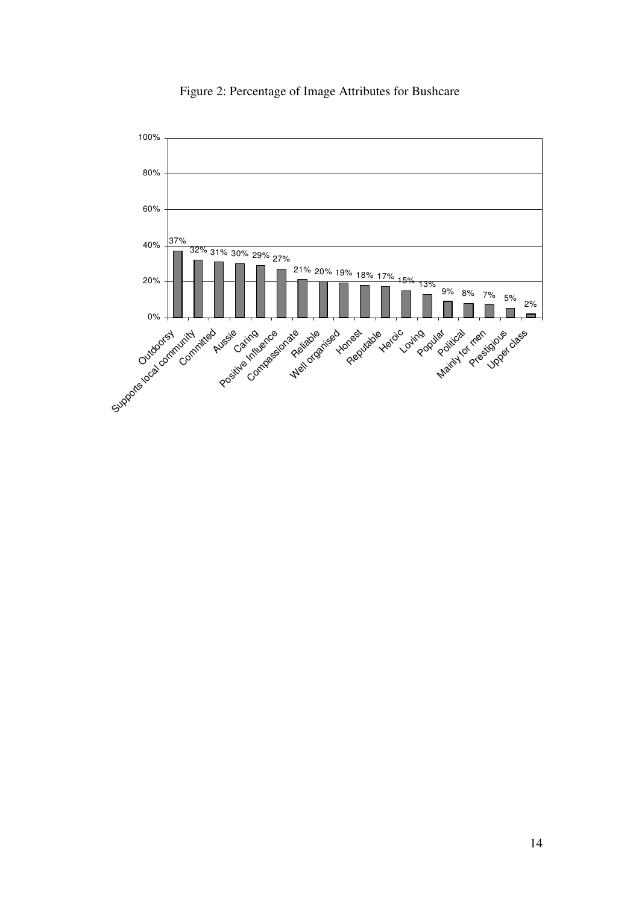

Figure 2: Percentage of Image Attributes for Bushcare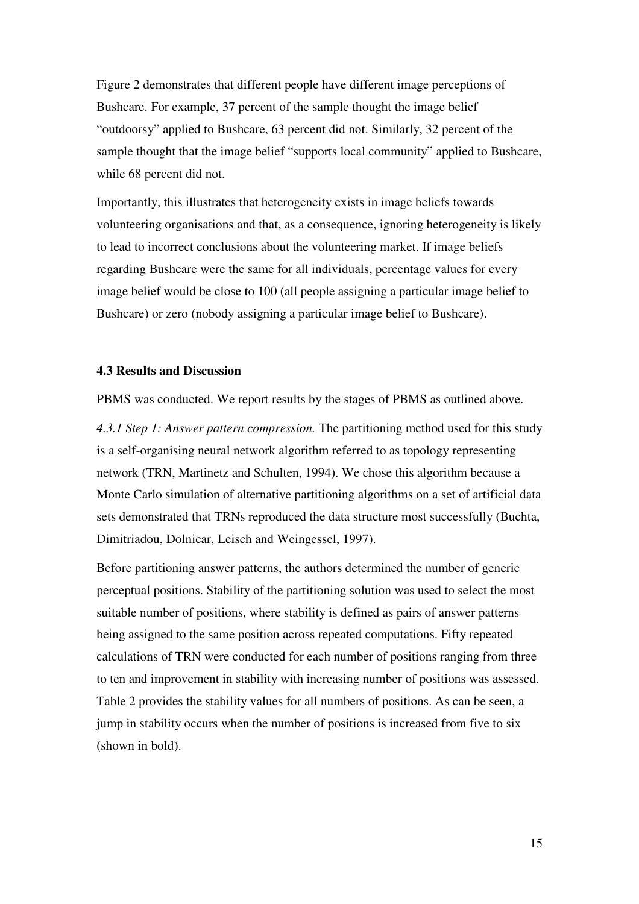Figure 2 demonstrates that different people have different image perceptions of Bushcare. For example, 37 percent of the sample thought the image belief "outdoorsy" applied to Bushcare, 63 percent did not. Similarly, 32 percent of the sample thought that the image belief "supports local community" applied to Bushcare, while 68 percent did not.

Importantly, this illustrates that heterogeneity exists in image beliefs towards volunteering organisations and that, as a consequence, ignoring heterogeneity is likely to lead to incorrect conclusions about the volunteering market. If image beliefs regarding Bushcare were the same for all individuals, percentage values for every image belief would be close to 100 (all people assigning a particular image belief to Bushcare) or zero (nobody assigning a particular image belief to Bushcare).

#### **4.3 Results and Discussion**

PBMS was conducted. We report results by the stages of PBMS as outlined above.

*4.3.1 Step 1: Answer pattern compression.* The partitioning method used for this study is a self-organising neural network algorithm referred to as topology representing network (TRN, Martinetz and Schulten, 1994). We chose this algorithm because a Monte Carlo simulation of alternative partitioning algorithms on a set of artificial data sets demonstrated that TRNs reproduced the data structure most successfully (Buchta, Dimitriadou, Dolnicar, Leisch and Weingessel, 1997).

Before partitioning answer patterns, the authors determined the number of generic perceptual positions. Stability of the partitioning solution was used to select the most suitable number of positions, where stability is defined as pairs of answer patterns being assigned to the same position across repeated computations. Fifty repeated calculations of TRN were conducted for each number of positions ranging from three to ten and improvement in stability with increasing number of positions was assessed. Table 2 provides the stability values for all numbers of positions. As can be seen, a jump in stability occurs when the number of positions is increased from five to six (shown in bold).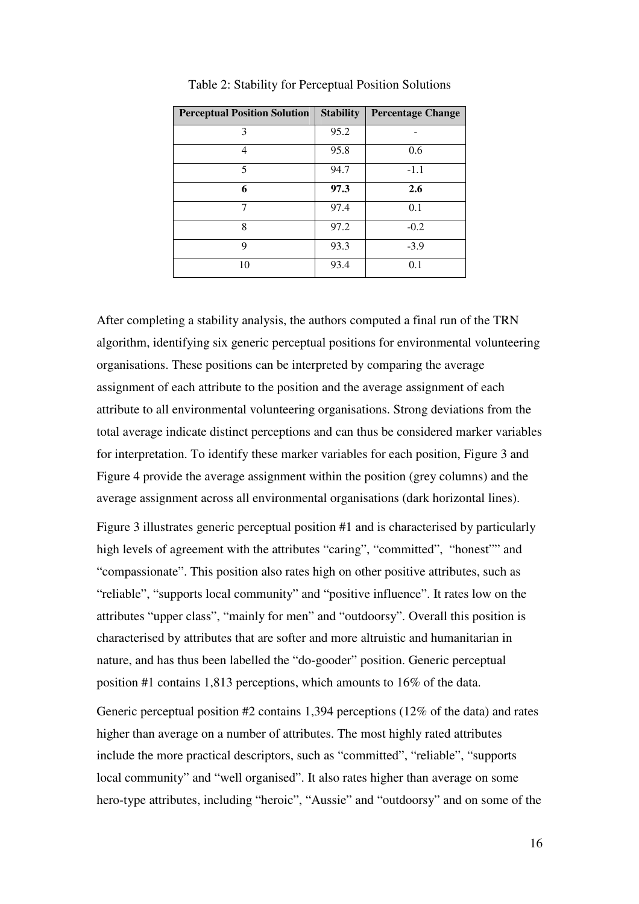| <b>Perceptual Position Solution</b> | <b>Stability</b> | <b>Percentage Change</b> |
|-------------------------------------|------------------|--------------------------|
| 3                                   | 95.2             |                          |
| 4                                   | 95.8             | 0.6                      |
| 5                                   | 94.7             | $-1.1$                   |
| 6                                   | 97.3             | 2.6                      |
| 7                                   | 97.4             | 0.1                      |
| 8                                   | 97.2             | $-0.2$                   |
| 9                                   | 93.3             | $-3.9$                   |
| 10                                  | 93.4             | 0.1                      |

Table 2: Stability for Perceptual Position Solutions

After completing a stability analysis, the authors computed a final run of the TRN algorithm, identifying six generic perceptual positions for environmental volunteering organisations. These positions can be interpreted by comparing the average assignment of each attribute to the position and the average assignment of each attribute to all environmental volunteering organisations. Strong deviations from the total average indicate distinct perceptions and can thus be considered marker variables for interpretation. To identify these marker variables for each position, Figure 3 and Figure 4 provide the average assignment within the position (grey columns) and the average assignment across all environmental organisations (dark horizontal lines).

Figure 3 illustrates generic perceptual position #1 and is characterised by particularly high levels of agreement with the attributes "caring", "committed", "honest" and "compassionate". This position also rates high on other positive attributes, such as "reliable", "supports local community" and "positive influence". It rates low on the attributes "upper class", "mainly for men" and "outdoorsy". Overall this position is characterised by attributes that are softer and more altruistic and humanitarian in nature, and has thus been labelled the "do-gooder" position. Generic perceptual position #1 contains 1,813 perceptions, which amounts to 16% of the data.

Generic perceptual position #2 contains 1,394 perceptions (12% of the data) and rates higher than average on a number of attributes. The most highly rated attributes include the more practical descriptors, such as "committed", "reliable", "supports local community" and "well organised". It also rates higher than average on some hero-type attributes, including "heroic", "Aussie" and "outdoorsy" and on some of the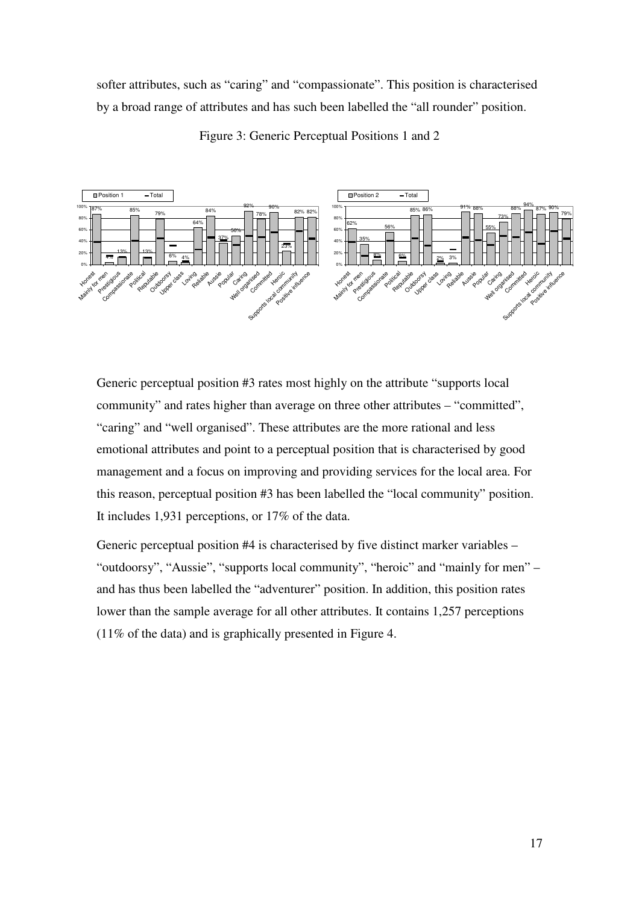softer attributes, such as "caring" and "compassionate". This position is characterised by a broad range of attributes and has such been labelled the "all rounder" position.



Figure 3: Generic Perceptual Positions 1 and 2

Generic perceptual position #3 rates most highly on the attribute "supports local community" and rates higher than average on three other attributes – "committed", "caring" and "well organised". These attributes are the more rational and less emotional attributes and point to a perceptual position that is characterised by good management and a focus on improving and providing services for the local area. For this reason, perceptual position #3 has been labelled the "local community" position. It includes 1,931 perceptions, or 17% of the data.

Generic perceptual position #4 is characterised by five distinct marker variables – "outdoorsy", "Aussie", "supports local community", "heroic" and "mainly for men" – and has thus been labelled the "adventurer" position. In addition, this position rates lower than the sample average for all other attributes. It contains 1,257 perceptions (11% of the data) and is graphically presented in Figure 4.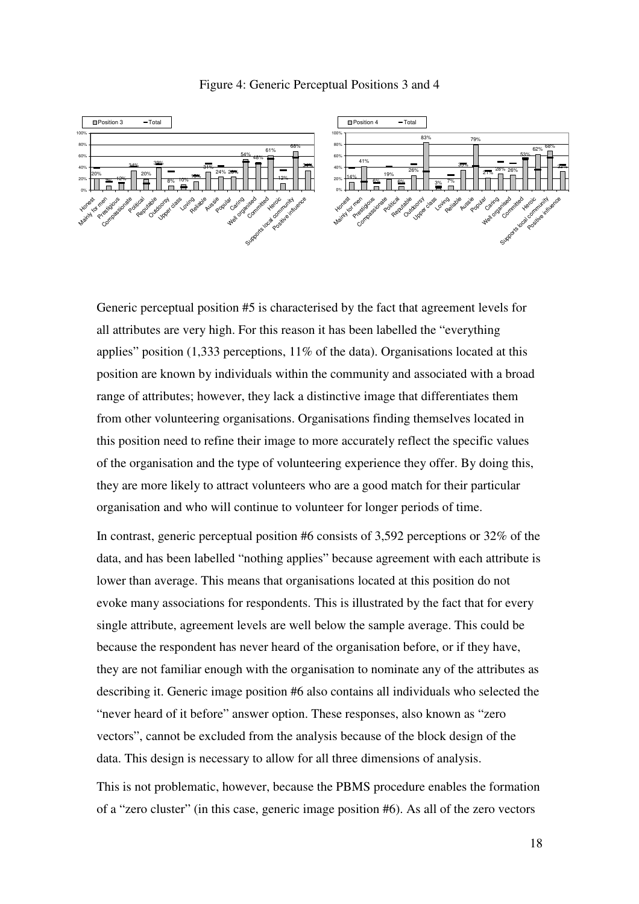



Generic perceptual position #5 is characterised by the fact that agreement levels for all attributes are very high. For this reason it has been labelled the "everything applies" position (1,333 perceptions, 11% of the data). Organisations located at this position are known by individuals within the community and associated with a broad range of attributes; however, they lack a distinctive image that differentiates them from other volunteering organisations. Organisations finding themselves located in this position need to refine their image to more accurately reflect the specific values of the organisation and the type of volunteering experience they offer. By doing this, they are more likely to attract volunteers who are a good match for their particular organisation and who will continue to volunteer for longer periods of time.

In contrast, generic perceptual position #6 consists of 3,592 perceptions or 32% of the data, and has been labelled "nothing applies" because agreement with each attribute is lower than average. This means that organisations located at this position do not evoke many associations for respondents. This is illustrated by the fact that for every single attribute, agreement levels are well below the sample average. This could be because the respondent has never heard of the organisation before, or if they have, they are not familiar enough with the organisation to nominate any of the attributes as describing it. Generic image position #6 also contains all individuals who selected the "never heard of it before" answer option. These responses, also known as "zero vectors", cannot be excluded from the analysis because of the block design of the data. This design is necessary to allow for all three dimensions of analysis.

This is not problematic, however, because the PBMS procedure enables the formation of a "zero cluster" (in this case, generic image position #6). As all of the zero vectors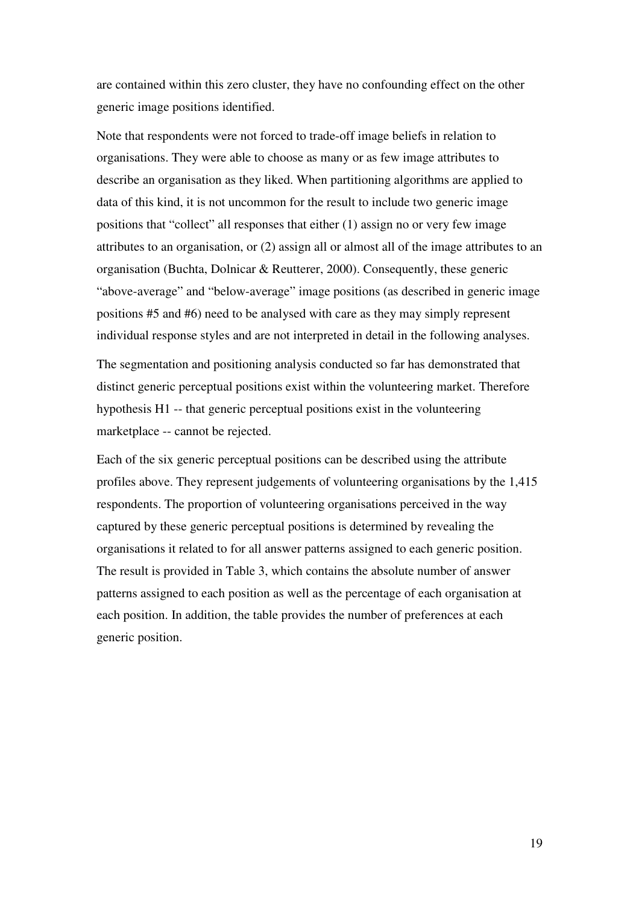are contained within this zero cluster, they have no confounding effect on the other generic image positions identified.

Note that respondents were not forced to trade-off image beliefs in relation to organisations. They were able to choose as many or as few image attributes to describe an organisation as they liked. When partitioning algorithms are applied to data of this kind, it is not uncommon for the result to include two generic image positions that "collect" all responses that either (1) assign no or very few image attributes to an organisation, or (2) assign all or almost all of the image attributes to an organisation (Buchta, Dolnicar & Reutterer, 2000). Consequently, these generic "above-average" and "below-average" image positions (as described in generic image positions #5 and #6) need to be analysed with care as they may simply represent individual response styles and are not interpreted in detail in the following analyses.

The segmentation and positioning analysis conducted so far has demonstrated that distinct generic perceptual positions exist within the volunteering market. Therefore hypothesis H1 -- that generic perceptual positions exist in the volunteering marketplace -- cannot be rejected.

Each of the six generic perceptual positions can be described using the attribute profiles above. They represent judgements of volunteering organisations by the 1,415 respondents. The proportion of volunteering organisations perceived in the way captured by these generic perceptual positions is determined by revealing the organisations it related to for all answer patterns assigned to each generic position. The result is provided in Table 3, which contains the absolute number of answer patterns assigned to each position as well as the percentage of each organisation at each position. In addition, the table provides the number of preferences at each generic position.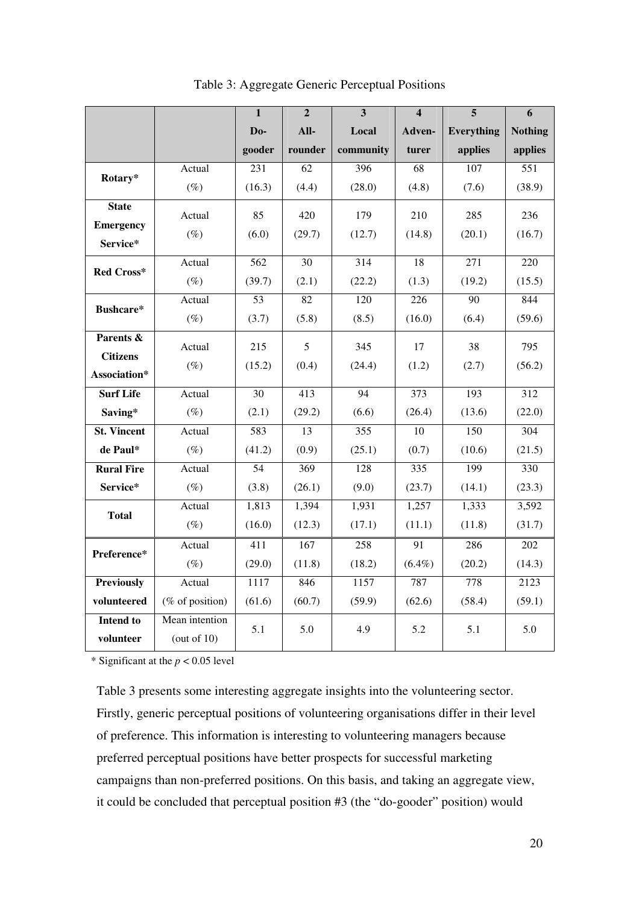|                               |                                  | $\overline{1}$   | $\overline{2}$ | $\overline{\mathbf{3}}$ | $\overline{\mathbf{4}}$ | $\overline{\mathbf{5}}$ | $\overline{6}$   |
|-------------------------------|----------------------------------|------------------|----------------|-------------------------|-------------------------|-------------------------|------------------|
|                               |                                  | Do-              | All-           | Local                   | Adven-                  | <b>Everything</b>       | <b>Nothing</b>   |
|                               |                                  | gooder           | rounder        | community               | turer                   | applies                 | applies          |
| Rotary*                       | Actual                           | 231              | 62             | 396                     | 68                      | 107                     | 551              |
|                               | $(\%)$                           | (16.3)           | (4.4)          | (28.0)                  | (4.8)                   | (7.6)                   | (38.9)           |
| <b>State</b>                  | Actual                           | 85               | 420            | 179                     | 210                     | 285                     | 236              |
| <b>Emergency</b>              | $(\%)$                           | (6.0)            | (29.7)         | (12.7)                  | (14.8)                  | (20.1)                  | (16.7)           |
| Service*                      |                                  |                  |                |                         |                         |                         |                  |
| Red Cross*                    | Actual                           | 562              | 30             | $\overline{314}$        | 18                      | $\overline{271}$        | 220              |
|                               | $(\%)$                           | (39.7)           | (2.1)          | (22.2)                  | (1.3)                   | (19.2)                  | (15.5)           |
| <b>Bushcare*</b>              | Actual                           | $\overline{53}$  | 82             | 120                     | 226                     | $\overline{90}$         | 844              |
|                               | $(\%)$                           | (3.7)            | (5.8)          | (8.5)                   | (16.0)                  | (6.4)                   | (59.6)           |
| Parents &                     | Actual                           | 215              | 5              | 345                     | 17                      | 38                      | 795              |
| <b>Citizens</b>               | $(\%)$                           | (15.2)           | (0.4)          | (24.4)                  | (1.2)                   | (2.7)                   | (56.2)           |
| Association*                  |                                  |                  |                |                         |                         |                         |                  |
| <b>Surf Life</b>              | Actual                           | $\overline{30}$  | 413            | $\overline{94}$         | $\frac{1}{373}$         | 193                     | $\overline{312}$ |
| Saving*                       | $(\%)$                           | (2.1)            | (29.2)         | (6.6)                   | (26.4)                  | (13.6)                  | (22.0)           |
| <b>St. Vincent</b>            | Actual                           | 583              | 13             | 355                     | 10                      | 150                     | 304              |
| de Paul*                      | $(\%)$                           | (41.2)           | (0.9)          | (25.1)                  | (0.7)                   | (10.6)                  | (21.5)           |
| <b>Rural Fire</b>             | Actual                           | 54               | 369            | 128                     | $\overline{335}$        | 199                     | 330              |
| Service*                      | $(\%)$                           | (3.8)            | (26.1)         | (9.0)                   | (23.7)                  | (14.1)                  | (23.3)           |
| <b>Total</b>                  | Actual                           | 1,813            | 1,394          | 1,931                   | 1,257                   | 1,333                   | 3,592            |
|                               | $(\%)$                           | (16.0)           | (12.3)         | (17.1)                  | (11.1)                  | (11.8)                  | (31.7)           |
| Preference*                   | Actual                           | $\overline{411}$ | 167            | 258                     | $\overline{91}$         | 286                     | 202              |
|                               | $(\%)$                           | (29.0)           | (11.8)         | (18.2)                  | $(6.4\%)$               | (20.2)                  | (14.3)           |
| <b>Previously</b>             | Actual                           | 1117             | 846            | 1157                    | 787                     | 778                     | 2123             |
| volunteered                   | (% of position)                  | (61.6)           | (60.7)         | (59.9)                  | (62.6)                  | (58.4)                  | (59.1)           |
| <b>Intend to</b><br>volunteer | Mean intention<br>(out of $10$ ) | 5.1              | 5.0            | 4.9                     | 5.2                     | 5.1                     | 5.0              |

Table 3: Aggregate Generic Perceptual Positions

\* Significant at the  $p < 0.05$  level

Table 3 presents some interesting aggregate insights into the volunteering sector. Firstly, generic perceptual positions of volunteering organisations differ in their level of preference. This information is interesting to volunteering managers because preferred perceptual positions have better prospects for successful marketing campaigns than non-preferred positions. On this basis, and taking an aggregate view, it could be concluded that perceptual position #3 (the "do-gooder" position) would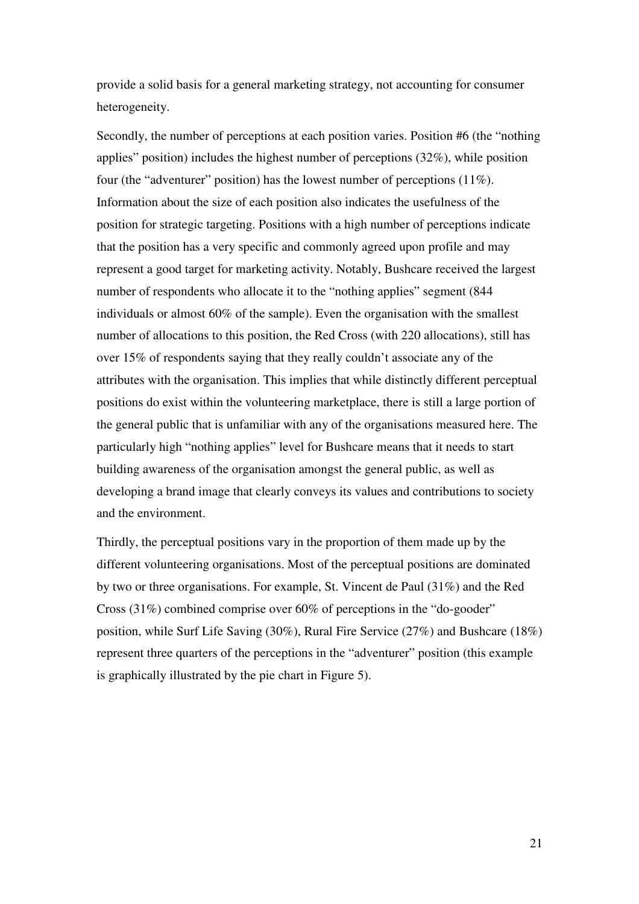provide a solid basis for a general marketing strategy, not accounting for consumer heterogeneity.

Secondly, the number of perceptions at each position varies. Position #6 (the "nothing applies" position) includes the highest number of perceptions (32%), while position four (the "adventurer" position) has the lowest number of perceptions (11%). Information about the size of each position also indicates the usefulness of the position for strategic targeting. Positions with a high number of perceptions indicate that the position has a very specific and commonly agreed upon profile and may represent a good target for marketing activity. Notably, Bushcare received the largest number of respondents who allocate it to the "nothing applies" segment (844 individuals or almost 60% of the sample). Even the organisation with the smallest number of allocations to this position, the Red Cross (with 220 allocations), still has over 15% of respondents saying that they really couldn't associate any of the attributes with the organisation. This implies that while distinctly different perceptual positions do exist within the volunteering marketplace, there is still a large portion of the general public that is unfamiliar with any of the organisations measured here. The particularly high "nothing applies" level for Bushcare means that it needs to start building awareness of the organisation amongst the general public, as well as developing a brand image that clearly conveys its values and contributions to society and the environment.

Thirdly, the perceptual positions vary in the proportion of them made up by the different volunteering organisations. Most of the perceptual positions are dominated by two or three organisations. For example, St. Vincent de Paul (31%) and the Red Cross (31%) combined comprise over 60% of perceptions in the "do-gooder" position, while Surf Life Saving (30%), Rural Fire Service (27%) and Bushcare (18%) represent three quarters of the perceptions in the "adventurer" position (this example is graphically illustrated by the pie chart in Figure 5).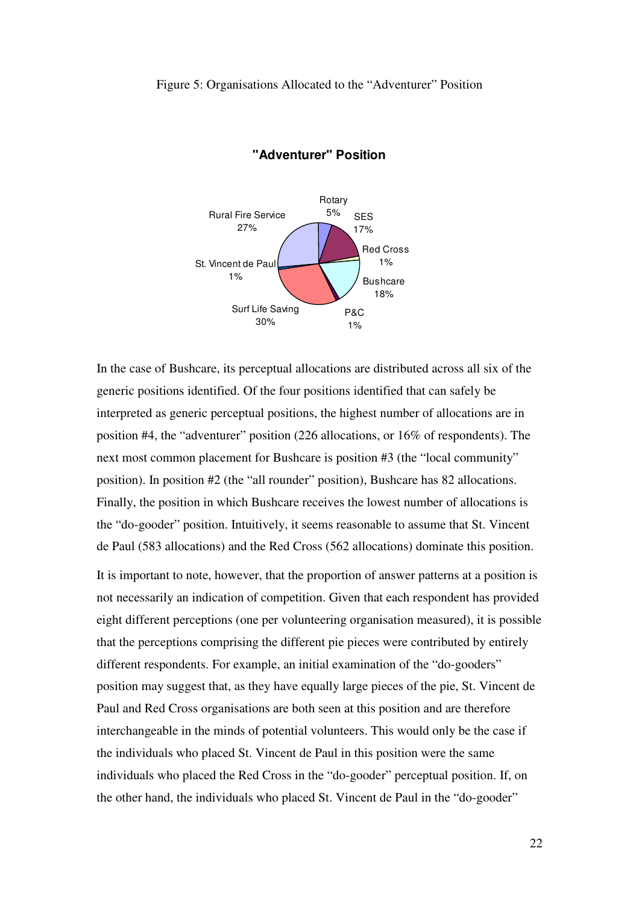#### Figure 5: Organisations Allocated to the "Adventurer" Position



#### **"Adventurer" Position**

In the case of Bushcare, its perceptual allocations are distributed across all six of the generic positions identified. Of the four positions identified that can safely be interpreted as generic perceptual positions, the highest number of allocations are in position #4, the "adventurer" position (226 allocations, or 16% of respondents). The next most common placement for Bushcare is position #3 (the "local community" position). In position #2 (the "all rounder" position), Bushcare has 82 allocations. Finally, the position in which Bushcare receives the lowest number of allocations is the "do-gooder" position. Intuitively, it seems reasonable to assume that St. Vincent de Paul (583 allocations) and the Red Cross (562 allocations) dominate this position.

It is important to note, however, that the proportion of answer patterns at a position is not necessarily an indication of competition. Given that each respondent has provided eight different perceptions (one per volunteering organisation measured), it is possible that the perceptions comprising the different pie pieces were contributed by entirely different respondents. For example, an initial examination of the "do-gooders" position may suggest that, as they have equally large pieces of the pie, St. Vincent de Paul and Red Cross organisations are both seen at this position and are therefore interchangeable in the minds of potential volunteers. This would only be the case if the individuals who placed St. Vincent de Paul in this position were the same individuals who placed the Red Cross in the "do-gooder" perceptual position. If, on the other hand, the individuals who placed St. Vincent de Paul in the "do-gooder"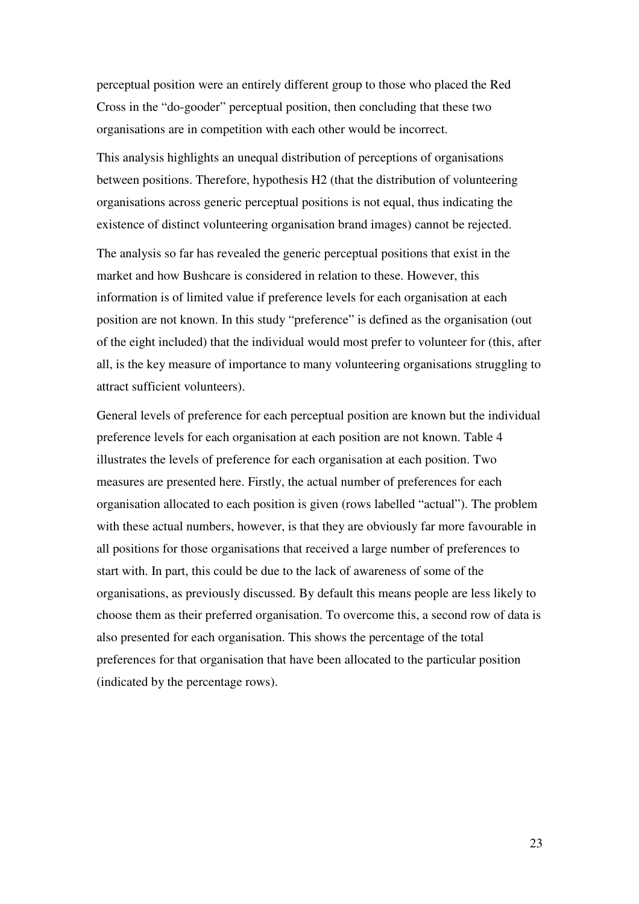perceptual position were an entirely different group to those who placed the Red Cross in the "do-gooder" perceptual position, then concluding that these two organisations are in competition with each other would be incorrect.

This analysis highlights an unequal distribution of perceptions of organisations between positions. Therefore, hypothesis H2 (that the distribution of volunteering organisations across generic perceptual positions is not equal, thus indicating the existence of distinct volunteering organisation brand images) cannot be rejected.

The analysis so far has revealed the generic perceptual positions that exist in the market and how Bushcare is considered in relation to these. However, this information is of limited value if preference levels for each organisation at each position are not known. In this study "preference" is defined as the organisation (out of the eight included) that the individual would most prefer to volunteer for (this, after all, is the key measure of importance to many volunteering organisations struggling to attract sufficient volunteers).

General levels of preference for each perceptual position are known but the individual preference levels for each organisation at each position are not known. Table 4 illustrates the levels of preference for each organisation at each position. Two measures are presented here. Firstly, the actual number of preferences for each organisation allocated to each position is given (rows labelled "actual"). The problem with these actual numbers, however, is that they are obviously far more favourable in all positions for those organisations that received a large number of preferences to start with. In part, this could be due to the lack of awareness of some of the organisations, as previously discussed. By default this means people are less likely to choose them as their preferred organisation. To overcome this, a second row of data is also presented for each organisation. This shows the percentage of the total preferences for that organisation that have been allocated to the particular position (indicated by the percentage rows).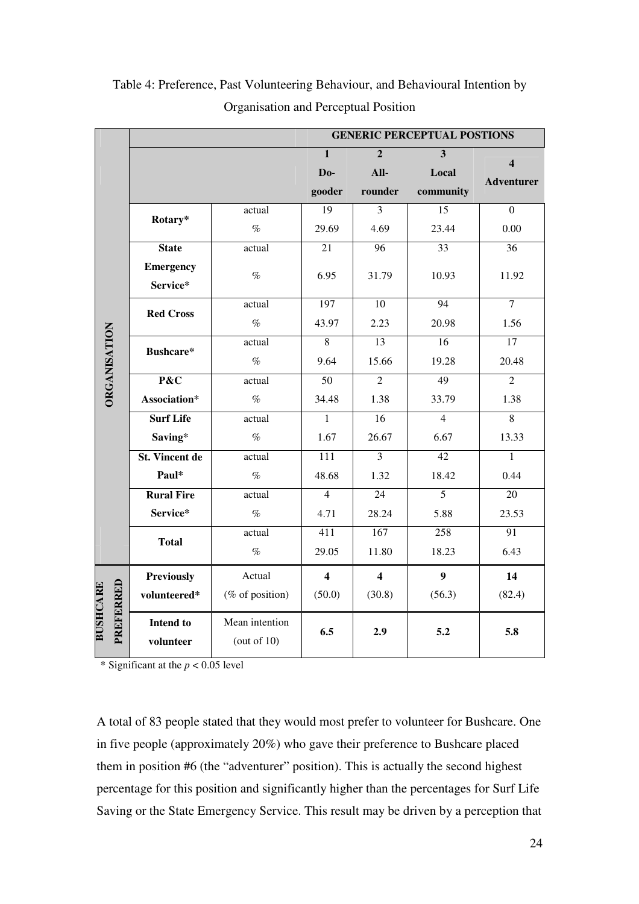|                              |                                                                | <b>GENERIC PERCEPTUAL POSTIONS</b> |                         |                         |                  |                         |  |  |
|------------------------------|----------------------------------------------------------------|------------------------------------|-------------------------|-------------------------|------------------|-------------------------|--|--|
|                              |                                                                |                                    | $\mathbf{1}$            | $\overline{2}$          | 3                | $\overline{\mathbf{4}}$ |  |  |
|                              |                                                                |                                    | Do-                     | All-                    | Local            | <b>Adventurer</b>       |  |  |
|                              |                                                                |                                    | gooder                  | rounder                 | community        |                         |  |  |
|                              | Rotary*                                                        | actual                             | $\overline{19}$         | 3                       | $\overline{15}$  | $\boldsymbol{0}$        |  |  |
|                              |                                                                | $\%$                               | 29.69                   | 4.69                    | 23.44            | 0.00                    |  |  |
|                              | <b>State</b>                                                   | actual                             | 21                      | 96                      | 33               | 36                      |  |  |
|                              | <b>Emergency</b>                                               | $\%$                               | 6.95                    | 31.79                   | 10.93            |                         |  |  |
|                              | Service*                                                       |                                    |                         |                         |                  | 11.92                   |  |  |
|                              | <b>Red Cross</b>                                               | actual                             | 197                     | $\overline{10}$         | $\overline{94}$  | $\overline{7}$          |  |  |
|                              |                                                                | $\%$                               | 43.97                   | 2.23                    | 20.98            | 1.56                    |  |  |
|                              | Bushcare*                                                      | actual                             | 8                       | $\overline{13}$         | $\overline{16}$  | $\overline{17}$         |  |  |
| ORGANISATION                 |                                                                | $\%$                               | 9.64                    | 15.66                   | 19.28            | 20.48                   |  |  |
|                              | P&C                                                            | actual                             | 50                      | $\overline{2}$          | 49               | $\overline{2}$          |  |  |
|                              | Association*                                                   | $\%$                               | 34.48                   | 1.38                    | 33.79            | 1.38                    |  |  |
|                              | <b>Surf Life</b>                                               | actual                             | 1                       | 16                      | $\overline{4}$   | 8                       |  |  |
|                              | Saving*                                                        | $\%$                               | 1.67                    | 26.67                   | 6.67             | 13.33                   |  |  |
|                              | <b>St. Vincent de</b>                                          | actual                             | $\overline{111}$        | $\overline{3}$          | $\overline{42}$  | $\mathbf{1}$            |  |  |
|                              | Paul*                                                          | $\%$                               | 48.68                   | 1.32                    | 18.42            | 0.44                    |  |  |
|                              | <b>Rural Fire</b>                                              | actual                             | $\overline{4}$          | 24                      | $\overline{5}$   | 20                      |  |  |
|                              | Service*                                                       | $\%$                               | 4.71                    | 28.24                   | 5.88             | 23.53                   |  |  |
|                              | <b>Total</b>                                                   | actual                             | 411                     | 167                     | 258              | 91                      |  |  |
|                              |                                                                | $\%$                               | 29.05                   | 11.80                   | 18.23            | 6.43                    |  |  |
| PREFERRED<br><b>BUSHCARE</b> | Actual<br><b>Previously</b><br>volunteered*<br>(% of position) |                                    | $\overline{\mathbf{4}}$ | $\overline{\mathbf{4}}$ | $\boldsymbol{9}$ | 14                      |  |  |
|                              |                                                                |                                    | (50.0)                  | (30.8)                  | (56.3)           | (82.4)                  |  |  |
|                              | <b>Intend to</b><br>volunteer                                  | Mean intention<br>(out of $10$ )   | 6.5                     | 2.9                     | 5.2              | 5.8                     |  |  |
|                              |                                                                |                                    |                         |                         |                  |                         |  |  |

Table 4: Preference, Past Volunteering Behaviour, and Behavioural Intention by Organisation and Perceptual Position

\* Significant at the  $p < 0.05$  level

A total of 83 people stated that they would most prefer to volunteer for Bushcare. One in five people (approximately 20%) who gave their preference to Bushcare placed them in position #6 (the "adventurer" position). This is actually the second highest percentage for this position and significantly higher than the percentages for Surf Life Saving or the State Emergency Service. This result may be driven by a perception that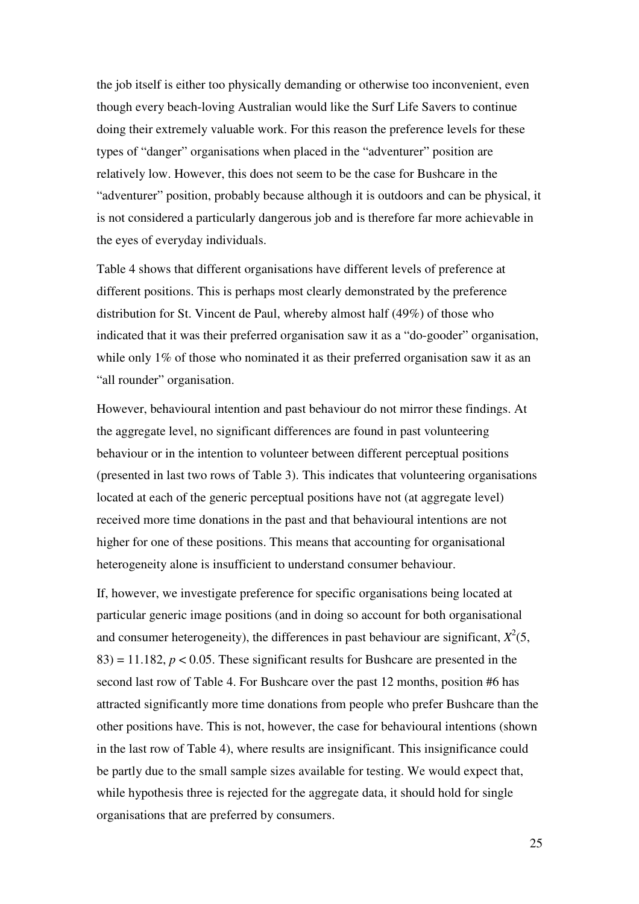the job itself is either too physically demanding or otherwise too inconvenient, even though every beach-loving Australian would like the Surf Life Savers to continue doing their extremely valuable work. For this reason the preference levels for these types of "danger" organisations when placed in the "adventurer" position are relatively low. However, this does not seem to be the case for Bushcare in the "adventurer" position, probably because although it is outdoors and can be physical, it is not considered a particularly dangerous job and is therefore far more achievable in the eyes of everyday individuals.

Table 4 shows that different organisations have different levels of preference at different positions. This is perhaps most clearly demonstrated by the preference distribution for St. Vincent de Paul, whereby almost half (49%) of those who indicated that it was their preferred organisation saw it as a "do-gooder" organisation, while only 1% of those who nominated it as their preferred organisation saw it as an "all rounder" organisation.

However, behavioural intention and past behaviour do not mirror these findings. At the aggregate level, no significant differences are found in past volunteering behaviour or in the intention to volunteer between different perceptual positions (presented in last two rows of Table 3). This indicates that volunteering organisations located at each of the generic perceptual positions have not (at aggregate level) received more time donations in the past and that behavioural intentions are not higher for one of these positions. This means that accounting for organisational heterogeneity alone is insufficient to understand consumer behaviour.

If, however, we investigate preference for specific organisations being located at particular generic image positions (and in doing so account for both organisational and consumer heterogeneity), the differences in past behaviour are significant,  $X^2(5)$ ,  $83$ ) = 11.182,  $p < 0.05$ . These significant results for Bushcare are presented in the second last row of Table 4. For Bushcare over the past 12 months, position #6 has attracted significantly more time donations from people who prefer Bushcare than the other positions have. This is not, however, the case for behavioural intentions (shown in the last row of Table 4), where results are insignificant. This insignificance could be partly due to the small sample sizes available for testing. We would expect that, while hypothesis three is rejected for the aggregate data, it should hold for single organisations that are preferred by consumers.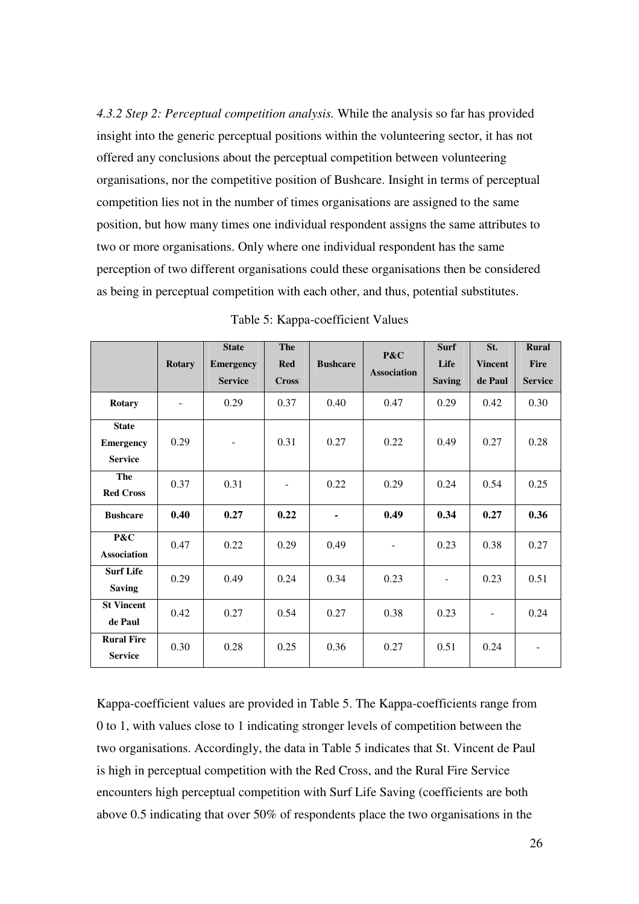*4.3.2 Step 2: Perceptual competition analysis.* While the analysis so far has provided insight into the generic perceptual positions within the volunteering sector, it has not offered any conclusions about the perceptual competition between volunteering organisations, nor the competitive position of Bushcare. Insight in terms of perceptual competition lies not in the number of times organisations are assigned to the same position, but how many times one individual respondent assigns the same attributes to two or more organisations. Only where one individual respondent has the same perception of two different organisations could these organisations then be considered as being in perceptual competition with each other, and thus, potential substitutes.

|                    |               | <b>State</b>     | <b>The</b>   |                 | P&C                | Surf          | St.            | <b>Rural</b>   |
|--------------------|---------------|------------------|--------------|-----------------|--------------------|---------------|----------------|----------------|
|                    | <b>Rotary</b> | <b>Emergency</b> | <b>Red</b>   | <b>Bushcare</b> |                    | Life          | <b>Vincent</b> | Fire           |
|                    |               | <b>Service</b>   | <b>Cross</b> |                 | <b>Association</b> | <b>Saving</b> | de Paul        | <b>Service</b> |
| Rotary             |               | 0.29             | 0.37         | 0.40            | 0.47               | 0.29          | 0.42           | 0.30           |
| <b>State</b>       |               |                  |              |                 |                    |               |                |                |
| <b>Emergency</b>   | 0.29          |                  | 0.31         | 0.27            | 0.22               | 0.49          | 0.27           | 0.28           |
| <b>Service</b>     |               |                  |              |                 |                    |               |                |                |
| The                | 0.37          | 0.31             |              | 0.22            | 0.29               | 0.24          | 0.54           | 0.25           |
| <b>Red Cross</b>   |               |                  |              |                 |                    |               |                |                |
| <b>Bushcare</b>    | 0.40          | 0.27             | 0.22         |                 | 0.49               | 0.34          | 0.27           | 0.36           |
| P&C                | 0.47          | 0.22             | 0.29         | 0.49            |                    | 0.23          | 0.38           | 0.27           |
| <b>Association</b> |               |                  |              |                 |                    |               |                |                |
| <b>Surf Life</b>   | 0.29          | 0.49             | 0.24         | 0.34            | 0.23               |               | 0.23           | 0.51           |
| <b>Saving</b>      |               |                  |              |                 |                    |               |                |                |
| <b>St Vincent</b>  | 0.42          | 0.27             | 0.54         | 0.27            | 0.38               | 0.23          |                | 0.24           |
| de Paul            |               |                  |              |                 |                    |               |                |                |
| <b>Rural Fire</b>  | 0.30          | 0.28             | 0.25         | 0.36            | 0.27               | 0.51          | 0.24           |                |
| <b>Service</b>     |               |                  |              |                 |                    |               |                |                |

|  | Table 5: Kappa-coefficient Values |  |
|--|-----------------------------------|--|
|--|-----------------------------------|--|

Kappa-coefficient values are provided in Table 5. The Kappa-coefficients range from 0 to 1, with values close to 1 indicating stronger levels of competition between the two organisations. Accordingly, the data in Table 5 indicates that St. Vincent de Paul is high in perceptual competition with the Red Cross, and the Rural Fire Service encounters high perceptual competition with Surf Life Saving (coefficients are both above 0.5 indicating that over 50% of respondents place the two organisations in the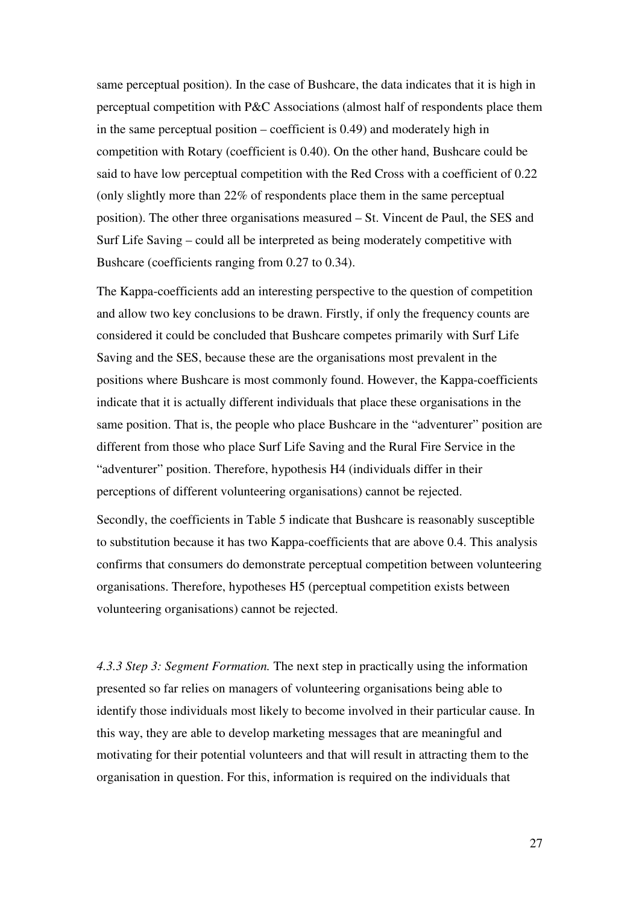same perceptual position). In the case of Bushcare, the data indicates that it is high in perceptual competition with P&C Associations (almost half of respondents place them in the same perceptual position – coefficient is 0.49) and moderately high in competition with Rotary (coefficient is 0.40). On the other hand, Bushcare could be said to have low perceptual competition with the Red Cross with a coefficient of 0.22 (only slightly more than 22% of respondents place them in the same perceptual position). The other three organisations measured – St. Vincent de Paul, the SES and Surf Life Saving – could all be interpreted as being moderately competitive with Bushcare (coefficients ranging from 0.27 to 0.34).

The Kappa-coefficients add an interesting perspective to the question of competition and allow two key conclusions to be drawn. Firstly, if only the frequency counts are considered it could be concluded that Bushcare competes primarily with Surf Life Saving and the SES, because these are the organisations most prevalent in the positions where Bushcare is most commonly found. However, the Kappa-coefficients indicate that it is actually different individuals that place these organisations in the same position. That is, the people who place Bushcare in the "adventurer" position are different from those who place Surf Life Saving and the Rural Fire Service in the "adventurer" position. Therefore, hypothesis H4 (individuals differ in their perceptions of different volunteering organisations) cannot be rejected.

Secondly, the coefficients in Table 5 indicate that Bushcare is reasonably susceptible to substitution because it has two Kappa-coefficients that are above 0.4. This analysis confirms that consumers do demonstrate perceptual competition between volunteering organisations. Therefore, hypotheses H5 (perceptual competition exists between volunteering organisations) cannot be rejected.

*4.3.3 Step 3: Segment Formation.* The next step in practically using the information presented so far relies on managers of volunteering organisations being able to identify those individuals most likely to become involved in their particular cause. In this way, they are able to develop marketing messages that are meaningful and motivating for their potential volunteers and that will result in attracting them to the organisation in question. For this, information is required on the individuals that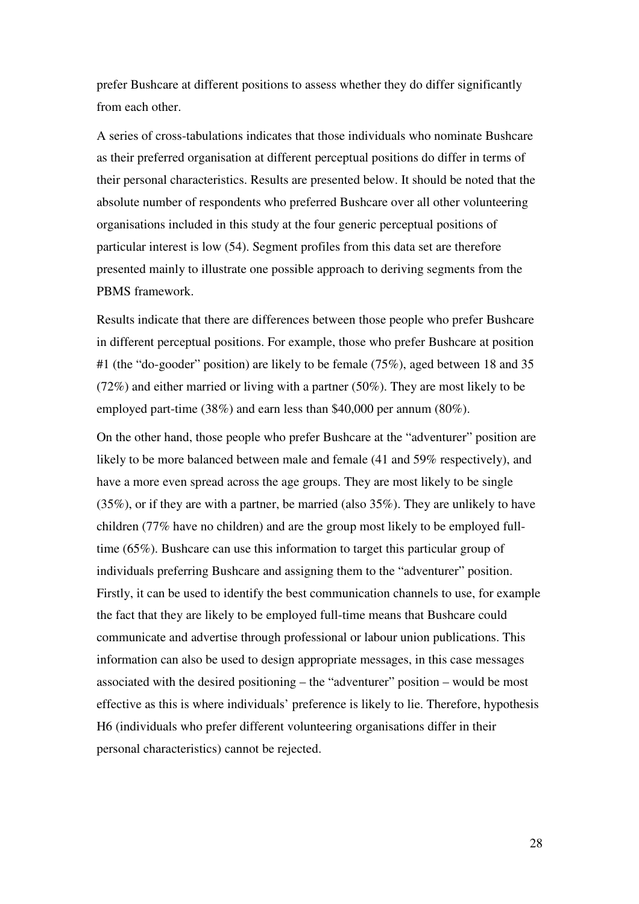prefer Bushcare at different positions to assess whether they do differ significantly from each other.

A series of cross-tabulations indicates that those individuals who nominate Bushcare as their preferred organisation at different perceptual positions do differ in terms of their personal characteristics. Results are presented below. It should be noted that the absolute number of respondents who preferred Bushcare over all other volunteering organisations included in this study at the four generic perceptual positions of particular interest is low (54). Segment profiles from this data set are therefore presented mainly to illustrate one possible approach to deriving segments from the PBMS framework.

Results indicate that there are differences between those people who prefer Bushcare in different perceptual positions. For example, those who prefer Bushcare at position #1 (the "do-gooder" position) are likely to be female (75%), aged between 18 and 35 (72%) and either married or living with a partner (50%). They are most likely to be employed part-time (38%) and earn less than \$40,000 per annum (80%).

On the other hand, those people who prefer Bushcare at the "adventurer" position are likely to be more balanced between male and female (41 and 59% respectively), and have a more even spread across the age groups. They are most likely to be single (35%), or if they are with a partner, be married (also 35%). They are unlikely to have children (77% have no children) and are the group most likely to be employed fulltime (65%). Bushcare can use this information to target this particular group of individuals preferring Bushcare and assigning them to the "adventurer" position. Firstly, it can be used to identify the best communication channels to use, for example the fact that they are likely to be employed full-time means that Bushcare could communicate and advertise through professional or labour union publications. This information can also be used to design appropriate messages, in this case messages associated with the desired positioning – the "adventurer" position – would be most effective as this is where individuals' preference is likely to lie. Therefore, hypothesis H6 (individuals who prefer different volunteering organisations differ in their personal characteristics) cannot be rejected.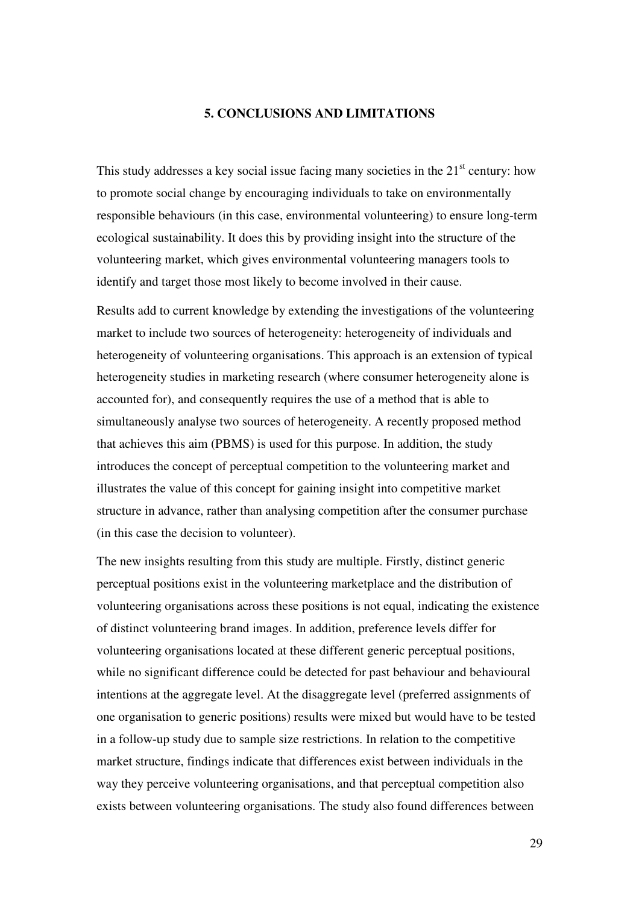## **5. CONCLUSIONS AND LIMITATIONS**

This study addresses a key social issue facing many societies in the  $21<sup>st</sup>$  century: how to promote social change by encouraging individuals to take on environmentally responsible behaviours (in this case, environmental volunteering) to ensure long-term ecological sustainability. It does this by providing insight into the structure of the volunteering market, which gives environmental volunteering managers tools to identify and target those most likely to become involved in their cause.

Results add to current knowledge by extending the investigations of the volunteering market to include two sources of heterogeneity: heterogeneity of individuals and heterogeneity of volunteering organisations. This approach is an extension of typical heterogeneity studies in marketing research (where consumer heterogeneity alone is accounted for), and consequently requires the use of a method that is able to simultaneously analyse two sources of heterogeneity. A recently proposed method that achieves this aim (PBMS) is used for this purpose. In addition, the study introduces the concept of perceptual competition to the volunteering market and illustrates the value of this concept for gaining insight into competitive market structure in advance, rather than analysing competition after the consumer purchase (in this case the decision to volunteer).

The new insights resulting from this study are multiple. Firstly, distinct generic perceptual positions exist in the volunteering marketplace and the distribution of volunteering organisations across these positions is not equal, indicating the existence of distinct volunteering brand images. In addition, preference levels differ for volunteering organisations located at these different generic perceptual positions, while no significant difference could be detected for past behaviour and behavioural intentions at the aggregate level. At the disaggregate level (preferred assignments of one organisation to generic positions) results were mixed but would have to be tested in a follow-up study due to sample size restrictions. In relation to the competitive market structure, findings indicate that differences exist between individuals in the way they perceive volunteering organisations, and that perceptual competition also exists between volunteering organisations. The study also found differences between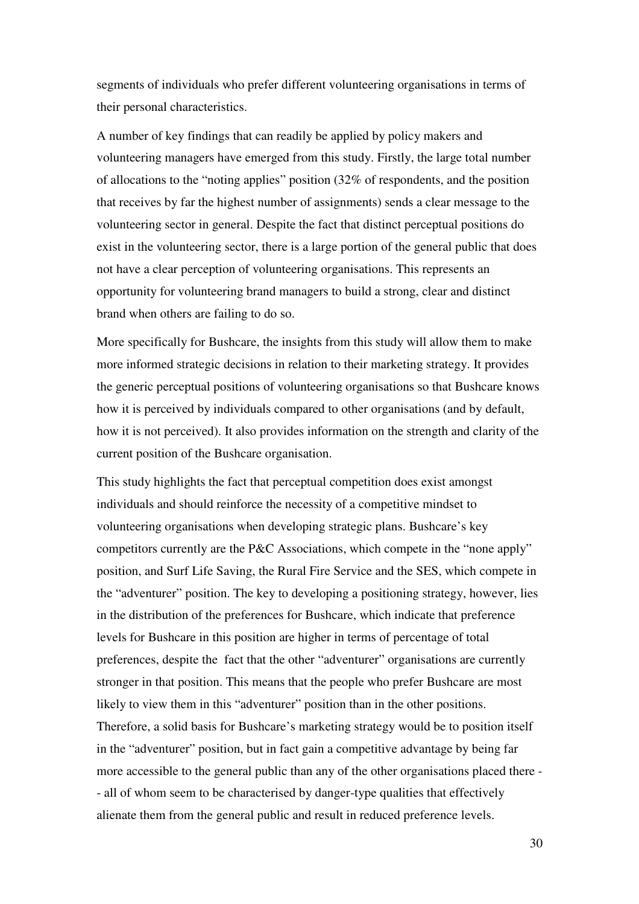segments of individuals who prefer different volunteering organisations in terms of their personal characteristics.

A number of key findings that can readily be applied by policy makers and volunteering managers have emerged from this study. Firstly, the large total number of allocations to the "noting applies" position (32% of respondents, and the position that receives by far the highest number of assignments) sends a clear message to the volunteering sector in general. Despite the fact that distinct perceptual positions do exist in the volunteering sector, there is a large portion of the general public that does not have a clear perception of volunteering organisations. This represents an opportunity for volunteering brand managers to build a strong, clear and distinct brand when others are failing to do so.

More specifically for Bushcare, the insights from this study will allow them to make more informed strategic decisions in relation to their marketing strategy. It provides the generic perceptual positions of volunteering organisations so that Bushcare knows how it is perceived by individuals compared to other organisations (and by default, how it is not perceived). It also provides information on the strength and clarity of the current position of the Bushcare organisation.

This study highlights the fact that perceptual competition does exist amongst individuals and should reinforce the necessity of a competitive mindset to volunteering organisations when developing strategic plans. Bushcare's key competitors currently are the P&C Associations, which compete in the "none apply" position, and Surf Life Saving, the Rural Fire Service and the SES, which compete in the "adventurer" position. The key to developing a positioning strategy, however, lies in the distribution of the preferences for Bushcare, which indicate that preference levels for Bushcare in this position are higher in terms of percentage of total preferences, despite the fact that the other "adventurer" organisations are currently stronger in that position. This means that the people who prefer Bushcare are most likely to view them in this "adventurer" position than in the other positions. Therefore, a solid basis for Bushcare's marketing strategy would be to position itself in the "adventurer" position, but in fact gain a competitive advantage by being far more accessible to the general public than any of the other organisations placed there - - all of whom seem to be characterised by danger-type qualities that effectively alienate them from the general public and result in reduced preference levels.

30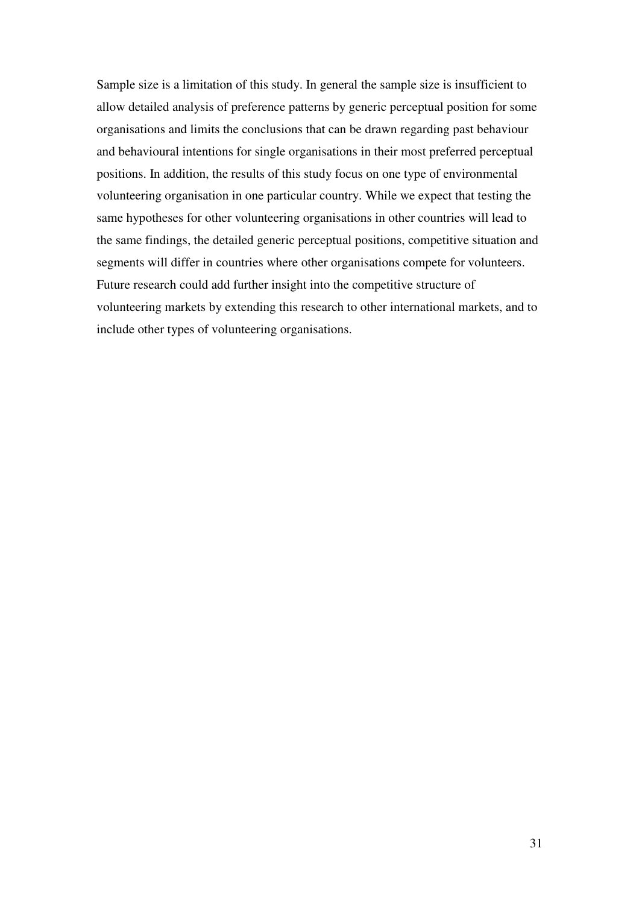Sample size is a limitation of this study. In general the sample size is insufficient to allow detailed analysis of preference patterns by generic perceptual position for some organisations and limits the conclusions that can be drawn regarding past behaviour and behavioural intentions for single organisations in their most preferred perceptual positions. In addition, the results of this study focus on one type of environmental volunteering organisation in one particular country. While we expect that testing the same hypotheses for other volunteering organisations in other countries will lead to the same findings, the detailed generic perceptual positions, competitive situation and segments will differ in countries where other organisations compete for volunteers. Future research could add further insight into the competitive structure of volunteering markets by extending this research to other international markets, and to include other types of volunteering organisations.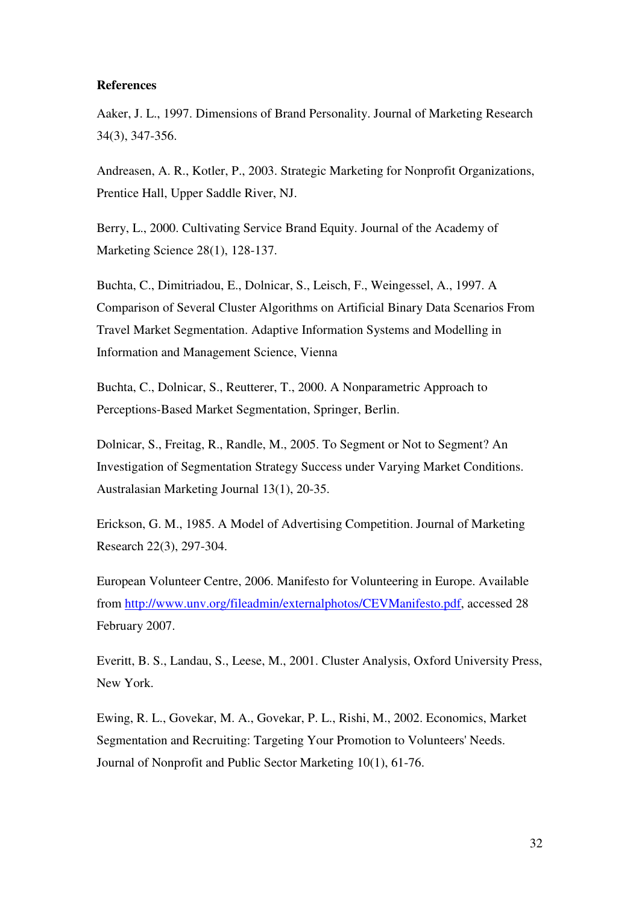#### **References**

Aaker, J. L., 1997. Dimensions of Brand Personality. Journal of Marketing Research 34(3), 347-356.

Andreasen, A. R., Kotler, P., 2003. Strategic Marketing for Nonprofit Organizations, Prentice Hall, Upper Saddle River, NJ.

Berry, L., 2000. Cultivating Service Brand Equity. Journal of the Academy of Marketing Science 28(1), 128-137.

Buchta, C., Dimitriadou, E., Dolnicar, S., Leisch, F., Weingessel, A., 1997. A Comparison of Several Cluster Algorithms on Artificial Binary Data Scenarios From Travel Market Segmentation. Adaptive Information Systems and Modelling in Information and Management Science, Vienna

Buchta, C., Dolnicar, S., Reutterer, T., 2000. A Nonparametric Approach to Perceptions-Based Market Segmentation, Springer, Berlin.

Dolnicar, S., Freitag, R., Randle, M., 2005. To Segment or Not to Segment? An Investigation of Segmentation Strategy Success under Varying Market Conditions. Australasian Marketing Journal 13(1), 20-35.

Erickson, G. M., 1985. A Model of Advertising Competition. Journal of Marketing Research 22(3), 297-304.

European Volunteer Centre, 2006. Manifesto for Volunteering in Europe. Available from http://www.unv.org/fileadmin/externalphotos/CEVManifesto.pdf, accessed 28 February 2007.

Everitt, B. S., Landau, S., Leese, M., 2001. Cluster Analysis, Oxford University Press, New York.

Ewing, R. L., Govekar, M. A., Govekar, P. L., Rishi, M., 2002. Economics, Market Segmentation and Recruiting: Targeting Your Promotion to Volunteers' Needs. Journal of Nonprofit and Public Sector Marketing 10(1), 61-76.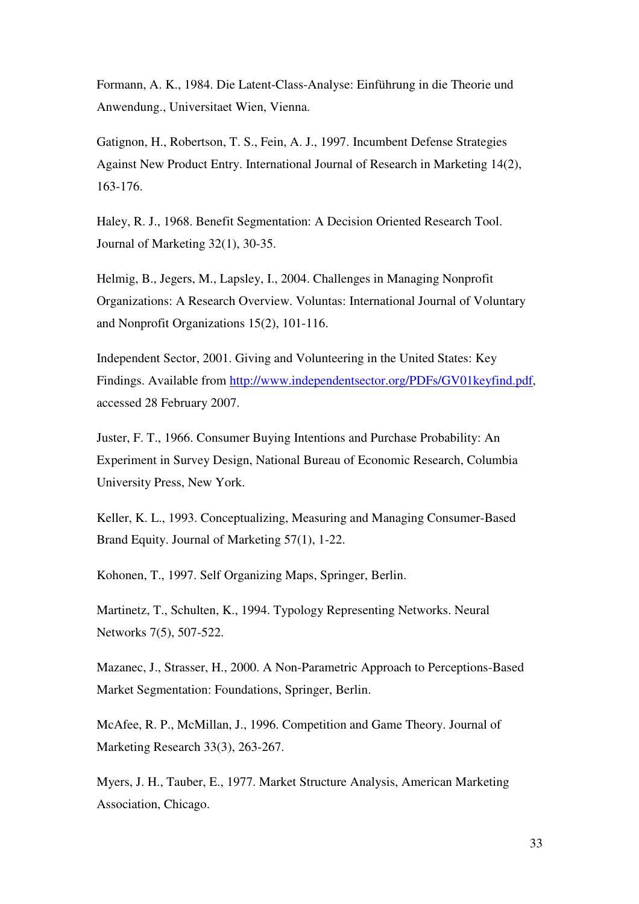Formann, A. K., 1984. Die Latent-Class-Analyse: Einführung in die Theorie und Anwendung., Universitaet Wien, Vienna.

Gatignon, H., Robertson, T. S., Fein, A. J., 1997. Incumbent Defense Strategies Against New Product Entry. International Journal of Research in Marketing 14(2), 163-176.

Haley, R. J., 1968. Benefit Segmentation: A Decision Oriented Research Tool. Journal of Marketing 32(1), 30-35.

Helmig, B., Jegers, M., Lapsley, I., 2004. Challenges in Managing Nonprofit Organizations: A Research Overview. Voluntas: International Journal of Voluntary and Nonprofit Organizations 15(2), 101-116.

Independent Sector, 2001. Giving and Volunteering in the United States: Key Findings. Available from http://www.independentsector.org/PDFs/GV01keyfind.pdf, accessed 28 February 2007.

Juster, F. T., 1966. Consumer Buying Intentions and Purchase Probability: An Experiment in Survey Design, National Bureau of Economic Research, Columbia University Press, New York.

Keller, K. L., 1993. Conceptualizing, Measuring and Managing Consumer-Based Brand Equity. Journal of Marketing 57(1), 1-22.

Kohonen, T., 1997. Self Organizing Maps, Springer, Berlin.

Martinetz, T., Schulten, K., 1994. Typology Representing Networks. Neural Networks 7(5), 507-522.

Mazanec, J., Strasser, H., 2000. A Non-Parametric Approach to Perceptions-Based Market Segmentation: Foundations, Springer, Berlin.

McAfee, R. P., McMillan, J., 1996. Competition and Game Theory. Journal of Marketing Research 33(3), 263-267.

Myers, J. H., Tauber, E., 1977. Market Structure Analysis, American Marketing Association, Chicago.